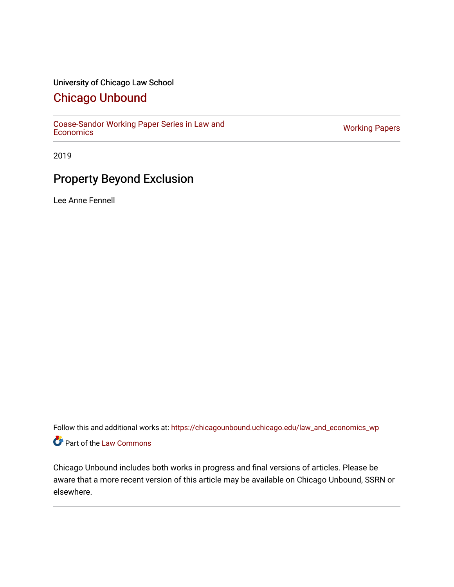## University of Chicago Law School

# [Chicago Unbound](https://chicagounbound.uchicago.edu/)

[Coase-Sandor Working Paper Series in Law and](https://chicagounbound.uchicago.edu/law_and_economics_wp) [Economics](https://chicagounbound.uchicago.edu/law_and_economics_wp) [Working Papers](https://chicagounbound.uchicago.edu/working_papers) 

2019

# Property Beyond Exclusion

Lee Anne Fennell

Follow this and additional works at: [https://chicagounbound.uchicago.edu/law\\_and\\_economics\\_wp](https://chicagounbound.uchicago.edu/law_and_economics_wp?utm_source=chicagounbound.uchicago.edu%2Flaw_and_economics_wp%2F66&utm_medium=PDF&utm_campaign=PDFCoverPages)  Part of the [Law Commons](http://network.bepress.com/hgg/discipline/578?utm_source=chicagounbound.uchicago.edu%2Flaw_and_economics_wp%2F66&utm_medium=PDF&utm_campaign=PDFCoverPages)

Chicago Unbound includes both works in progress and final versions of articles. Please be aware that a more recent version of this article may be available on Chicago Unbound, SSRN or elsewhere.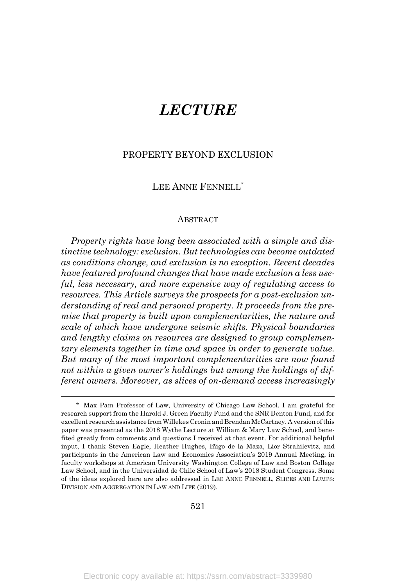# *LECTURE*

## PROPERTY BEYOND EXCLUSION

## LEE ANNE FENNELL<sup>\*</sup>

#### ABSTRACT

*Property rights have long been associated with a simple and distinctive technology: exclusion. But technologies can become outdated as conditions change, and exclusion is no exception. Recent decades have featured profound changes that have made exclusion a less useful, less necessary, and more expensive way of regulating access to resources. This Article surveys the prospects for a post-exclusion understanding of real and personal property. It proceeds from the premise that property is built upon complementarities, the nature and scale of which have undergone seismic shifts. Physical boundaries and lengthy claims on resources are designed to group complementary elements together in time and space in order to generate value. But many of the most important complementarities are now found not within a given owner's holdings but among the holdings of different owners. Moreover, as slices of on-demand access increasingly*

<sup>\*</sup> Max Pam Professor of Law, University of Chicago Law School. I am grateful for research support from the Harold J. Green Faculty Fund and the SNR Denton Fund, and for excellent research assistance from Willekes Cronin and Brendan McCartney. A version of this paper was presented as the 2018 Wythe Lecture at William & Mary Law School, and benefited greatly from comments and questions I received at that event. For additional helpful input, I thank Steven Eagle, Heather Hughes, Iñigo de la Maza, Lior Strahilevitz, and participants in the American Law and Economics Association's 2019 Annual Meeting, in faculty workshops at American University Washington College of Law and Boston College Law School, and in the Universidad de Chile School of Law's 2018 Student Congress. Some of the ideas explored here are also addressed in LEE ANNE FENNELL, SLICES AND LUMPS: DIVISION AND AGGREGATION IN LAW AND LIFE (2019).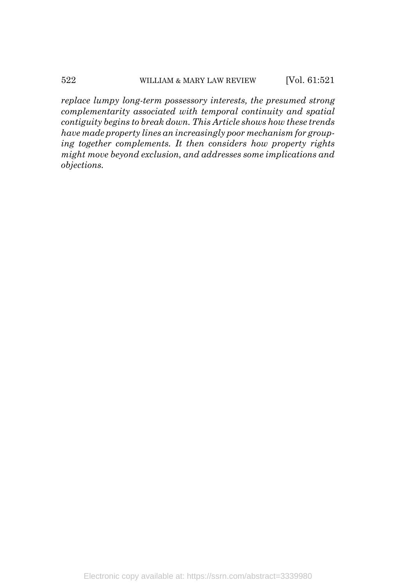*replace lumpy long-term possessory interests, the presumed strong complementarity associated with temporal continuity and spatial contiguity begins to break down. This Article shows how these trends have made property lines an increasingly poor mechanism for grouping together complements. It then considers how property rights might move beyond exclusion, and addresses some implications and objections.*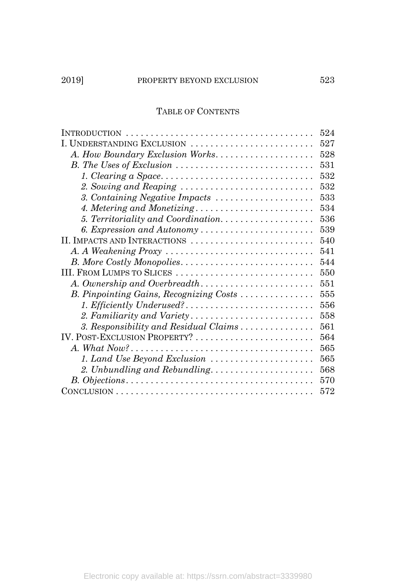# 2019] PROPERTY BEYOND EXCLUSION 523

## TABLE OF CONTENTS

|                                                                                                    | 524 |
|----------------------------------------------------------------------------------------------------|-----|
| I. UNDERSTANDING EXCLUSION                                                                         | 527 |
| A. How Boundary Exclusion Works                                                                    | 528 |
|                                                                                                    | 531 |
|                                                                                                    | 532 |
| 2. Sowing and Reaping                                                                              | 532 |
| 3. Containing Negative Impacts                                                                     | 533 |
| 4. Metering and Monetizing                                                                         | 534 |
| 5. Territoriality and Coordination                                                                 | 536 |
| 6. Expression and Autonomy                                                                         | 539 |
| II. IMPACTS AND INTERACTIONS                                                                       | 540 |
|                                                                                                    | 541 |
| B. More Costly Monopolies                                                                          | 544 |
| III. FROM LUMPS TO SLICES                                                                          | 550 |
|                                                                                                    | 551 |
| B. Pinpointing Gains, Recognizing Costs                                                            | 555 |
| 1. Efficiently Underused?                                                                          | 556 |
|                                                                                                    | 558 |
| 3. Responsibility and Residual Claims                                                              | 561 |
| IV. POST-EXCLUSION PROPERTY?                                                                       | 564 |
| A. What $Now? \ldots \ldots \ldots \ldots \ldots \ldots \ldots \ldots \ldots \ldots \ldots \ldots$ | 565 |
| 1. Land Use Beyond Exclusion                                                                       | 565 |
| 2. Unbundling and Rebundling                                                                       | 568 |
|                                                                                                    | 570 |
|                                                                                                    | 572 |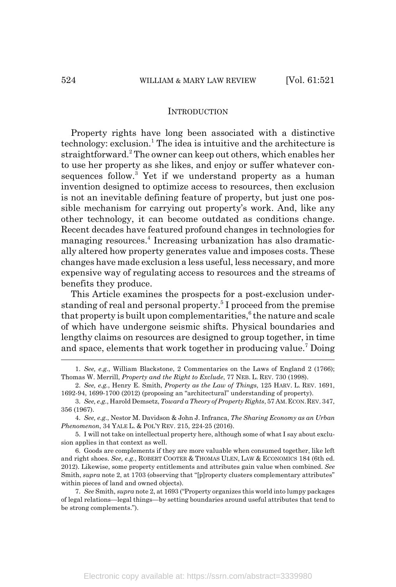#### **INTRODUCTION**

Property rights have long been associated with a distinctive technology: exclusion.<sup>1</sup> The idea is intuitive and the architecture is straightforward.<sup>2</sup> The owner can keep out others, which enables her to use her property as she likes, and enjoy or suffer whatever consequences follow.<sup>3</sup> Yet if we understand property as a human invention designed to optimize access to resources, then exclusion is not an inevitable defining feature of property, but just one possible mechanism for carrying out property's work. And, like any other technology, it can become outdated as conditions change. Recent decades have featured profound changes in technologies for managing resources.<sup>4</sup> Increasing urbanization has also dramatically altered how property generates value and imposes costs. These changes have made exclusion a less useful, less necessary, and more expensive way of regulating access to resources and the streams of benefits they produce.

This Article examines the prospects for a post-exclusion understanding of real and personal property.<sup>5</sup> I proceed from the premise that property is built upon complementarities,  $6$  the nature and scale of which have undergone seismic shifts. Physical boundaries and lengthy claims on resources are designed to group together, in time and space, elements that work together in producing value.<sup>7</sup> Doing

<sup>1.</sup> *See, e.g.*, William Blackstone, 2 Commentaries on the Laws of England 2 (1766); Thomas W. Merrill, *Property and the Right to Exclude*, 77 NEB. L. REV. 730 (1998).

<sup>2.</sup> *See, e.g.*, Henry E. Smith, *Property as the Law of Things*, 125 HARV. L. REV. 1691, 1692-94, 1699-1700 (2012) (proposing an "architectural" understanding of property).

<sup>3.</sup> *See, e.g.*, Harold Demsetz, *Toward a Theory of Property Rights*, 57 AM.ECON.REV. 347, 356 (1967).

<sup>4.</sup> *See, e.g.*, Nestor M. Davidson & John J. Infranca, *The Sharing Economy as an Urban Phenomenon*, 34 YALE L. & POL'Y REV. 215, 224-25 (2016).

<sup>5.</sup> I will not take on intellectual property here, although some of what I say about exclusion applies in that context as well.

<sup>6.</sup> Goods are complements if they are more valuable when consumed together, like left and right shoes. *See, e.g.*, ROBERT COOTER & THOMAS ULEN, LAW & ECONOMICS 184 (6th ed. 2012). Likewise, some property entitlements and attributes gain value when combined. *See* Smith, *supra* note 2, at 1703 (observing that "[p]roperty clusters complementary attributes" within pieces of land and owned objects).

<sup>7.</sup> *See* Smith, *supra* note 2, at 1693 ("Property organizes this world into lumpy packages of legal relations—legal things—by setting boundaries around useful attributes that tend to be strong complements.").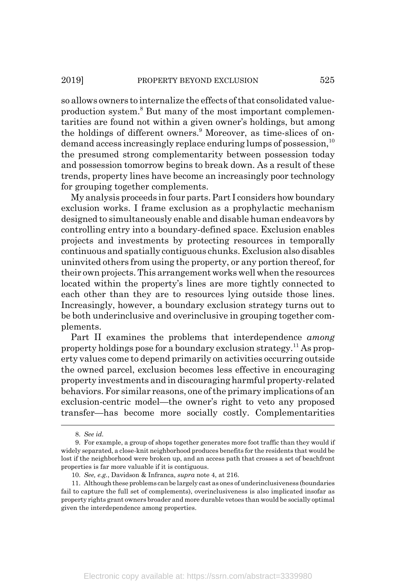so allows owners to internalize the effects of that consolidated valueproduction system.<sup>8</sup> But many of the most important complementarities are found not within a given owner's holdings, but among the holdings of different owners.<sup>9</sup> Moreover, as time-slices of ondemand access increasingly replace enduring lumps of possession.<sup>10</sup> the presumed strong complementarity between possession today and possession tomorrow begins to break down. As a result of these trends, property lines have become an increasingly poor technology for grouping together complements.

My analysis proceeds in four parts. Part I considers how boundary exclusion works. I frame exclusion as a prophylactic mechanism designed to simultaneously enable and disable human endeavors by controlling entry into a boundary-defined space. Exclusion enables projects and investments by protecting resources in temporally continuous and spatially contiguous chunks. Exclusion also disables uninvited others from using the property, or any portion thereof, for their own projects. This arrangement works well when the resources located within the property's lines are more tightly connected to each other than they are to resources lying outside those lines. Increasingly, however, a boundary exclusion strategy turns out to be both underinclusive and overinclusive in grouping together complements.

Part II examines the problems that interdependence *among* property holdings pose for a boundary exclusion strategy.11 As property values come to depend primarily on activities occurring outside the owned parcel, exclusion becomes less effective in encouraging property investments and in discouraging harmful property-related behaviors. For similar reasons, one of the primary implications of an exclusion-centric model—the owner's right to veto any proposed transfer—has become more socially costly. Complementarities

<sup>8.</sup> *See id.*

<sup>9.</sup> For example, a group of shops together generates more foot traffic than they would if widely separated, a close-knit neighborhood produces benefits for the residents that would be lost if the neighborhood were broken up, and an access path that crosses a set of beachfront properties is far more valuable if it is contiguous.

<sup>10.</sup> *See, e.g.*, Davidson & Infranca, *supra* note 4, at 216.

<sup>11.</sup> Although these problems can be largely cast as ones of underinclusiveness (boundaries fail to capture the full set of complements), overinclusiveness is also implicated insofar as property rights grant owners broader and more durable vetoes than would be socially optimal given the interdependence among properties.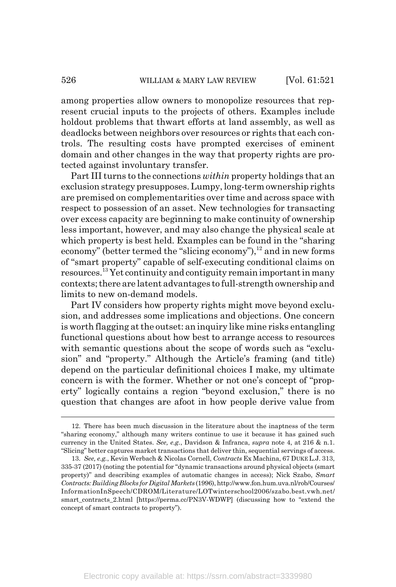among properties allow owners to monopolize resources that represent crucial inputs to the projects of others. Examples include holdout problems that thwart efforts at land assembly, as well as deadlocks between neighbors over resources or rights that each controls. The resulting costs have prompted exercises of eminent domain and other changes in the way that property rights are protected against involuntary transfer.

Part III turns to the connections *within* property holdings that an exclusion strategy presupposes. Lumpy, long-term ownership rights are premised on complementarities over time and across space with respect to possession of an asset. New technologies for transacting over excess capacity are beginning to make continuity of ownership less important, however, and may also change the physical scale at which property is best held. Examples can be found in the "sharing economy" (better termed the "slicing economy"), $12$  and in new forms of "smart property" capable of self-executing conditional claims on resources.13 Yet continuity and contiguity remain important in many contexts; there are latent advantages to full-strength ownership and limits to new on-demand models.

Part IV considers how property rights might move beyond exclusion, and addresses some implications and objections. One concern is worth flagging at the outset: an inquiry like mine risks entangling functional questions about how best to arrange access to resources with semantic questions about the scope of words such as "exclusion" and "property." Although the Article's framing (and title) depend on the particular definitional choices I make, my ultimate concern is with the former. Whether or not one's concept of "property" logically contains a region "beyond exclusion," there is no question that changes are afoot in how people derive value from

<sup>12.</sup> There has been much discussion in the literature about the inaptness of the term "sharing economy," although many writers continue to use it because it has gained such currency in the United States. *See, e.g.*, Davidson & Infranca, *supra* note 4, at 216 & n.1. "Slicing" better captures market transactions that deliver thin, sequential servings of access.

<sup>13.</sup> *See, e.g.*, Kevin Werbach & Nicolas Cornell, *Contracts* Ex Machina, 67 DUKE L.J. 313, 335-37 (2017) (noting the potential for "dynamic transactions around physical objects (smart property)" and describing examples of automatic changes in access); Nick Szabo, *Smart Contracts: Building Blocks for Digital Markets* (1996), http://www.fon.hum.uva.nl/rob/Courses/ InformationInSpeech/CDROM/Literature/LOTwinterschool2006/szabo.best.vwh.net/ smart\_contracts\_2.html [https://perma.cc/PN3V-WDWP] (discussing how to "extend the concept of smart contracts to property").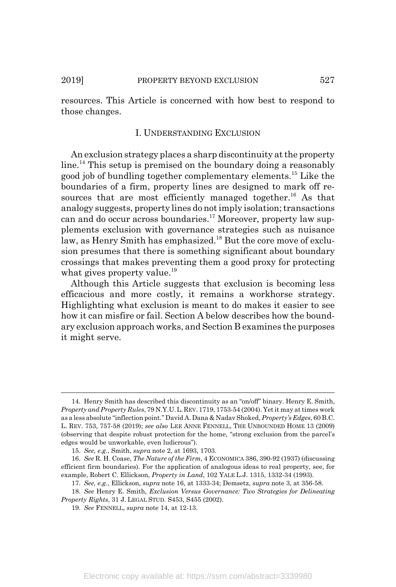resources. This Article is concerned with how best to respond to those changes.

#### I. UNDERSTANDING EXCLUSION

An exclusion strategy places a sharp discontinuity at the property line.<sup>14</sup> This setup is premised on the boundary doing a reasonably good job of bundling together complementary elements.15 Like the boundaries of a firm, property lines are designed to mark off resources that are most efficiently managed together.<sup>16</sup> As that analogy suggests, property lines do not imply isolation; transactions can and do occur across boundaries.<sup>17</sup> Moreover, property law supplements exclusion with governance strategies such as nuisance law, as Henry Smith has emphasized.<sup>18</sup> But the core move of exclusion presumes that there is something significant about boundary crossings that makes preventing them a good proxy for protecting what gives property value.<sup>19</sup>

Although this Article suggests that exclusion is becoming less efficacious and more costly, it remains a workhorse strategy. Highlighting what exclusion is meant to do makes it easier to see how it can misfire or fail. Section A below describes how the boundary exclusion approach works, and Section B examines the purposes it might serve.

<sup>14.</sup> Henry Smith has described this discontinuity as an "on/off" binary. Henry E. Smith, *Property and Property Rules*, 79 N.Y.U.L.REV. 1719, 1753-54 (2004). Yet it may at times work as a less absolute "inflection point." David A. Dana & Nadav Shoked, *Property's Edges*, 60 B.C. L. REV. 753, 757-58 (2019); *see also* LEE ANNE FENNELL, THE UNBOUNDED HOME 13 (2009) (observing that despite robust protection for the home, "strong exclusion from the parcel's edges would be unworkable, even ludicrous").

<sup>15.</sup> *See, e.g.*, Smith, *supra* note 2, at 1693, 1703.

<sup>16.</sup> *See* R. H. Coase, *The Nature of the Firm*, 4 ECONOMICA 386, 390-92 (1937) (discussing efficient firm boundaries). For the application of analogous ideas to real property, see, for example, Robert C. Ellickson, *Property in Land*, 102 YALE L.J. 1315, 1332-34 (1993).

<sup>17.</sup> *See, e.g.*, Ellickson, *supra* note 16, at 1333-34; Demsetz, *supra* note 3, at 356-58.

<sup>18.</sup> *See* Henry E. Smith, *Exclusion Versus Governance: Two Strategies for Delineating Property Rights*, 31 J. LEGAL STUD. S453, S455 (2002).

<sup>19.</sup> *See* FENNELL, *supra* note 14, at 12-13.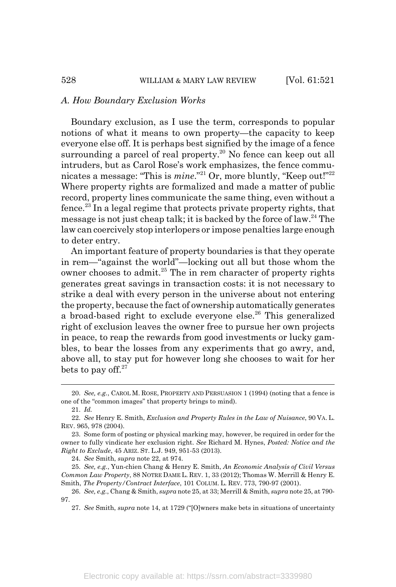#### *A. How Boundary Exclusion Works*

Boundary exclusion, as I use the term, corresponds to popular notions of what it means to own property—the capacity to keep everyone else off. It is perhaps best signified by the image of a fence surrounding a parcel of real property.<sup>20</sup> No fence can keep out all intruders, but as Carol Rose's work emphasizes, the fence communicates a message: "This is *mine*."<sup>21</sup> Or, more bluntly, "Keep out!"<sup>22</sup> Where property rights are formalized and made a matter of public record, property lines communicate the same thing, even without a fence.<sup>23</sup> In a legal regime that protects private property rights, that message is not just cheap talk; it is backed by the force of law.24 The law can coercively stop interlopers or impose penalties large enough to deter entry.

An important feature of property boundaries is that they operate in rem—"against the world"—locking out all but those whom the owner chooses to admit.<sup>25</sup> The in rem character of property rights generates great savings in transaction costs: it is not necessary to strike a deal with every person in the universe about not entering the property, because the fact of ownership automatically generates a broad-based right to exclude everyone else.<sup>26</sup> This generalized right of exclusion leaves the owner free to pursue her own projects in peace, to reap the rewards from good investments or lucky gambles, to bear the losses from any experiments that go awry, and, above all, to stay put for however long she chooses to wait for her bets to pay off. $27$ 

21. *Id.*

24. *See* Smith, *supra* note 22, at 974.

<sup>20.</sup> *See, e.g.*, CAROL M. ROSE, PROPERTY AND PERSUASION 1 (1994) (noting that a fence is one of the "common images" that property brings to mind).

<sup>22.</sup> *See* Henry E. Smith, *Exclusion and Property Rules in the Law of Nuisance*, 90 VA. L. REV. 965, 978 (2004).

<sup>23.</sup> Some form of posting or physical marking may, however, be required in order for the owner to fully vindicate her exclusion right. *See* Richard M. Hynes, *Posted: Notice and the Right to Exclude*, 45 ARIZ. ST. L.J. 949, 951-53 (2013).

<sup>25.</sup> *See, e.g.*, Yun-chien Chang & Henry E. Smith, *An Economic Analysis of Civil Versus Common Law Property*, 88 NOTRE DAME L. REV. 1, 33 (2012); Thomas W. Merrill & Henry E. Smith, *The Property/Contract Interface*, 101 COLUM. L. REV. 773, 790-97 (2001).

<sup>26.</sup> *See, e.g.*, Chang & Smith, *supra* note 25, at 33; Merrill & Smith, *supra* note 25, at 790- 97.

<sup>27.</sup> *See* Smith, *supra* note 14, at 1729 ("[O]wners make bets in situations of uncertainty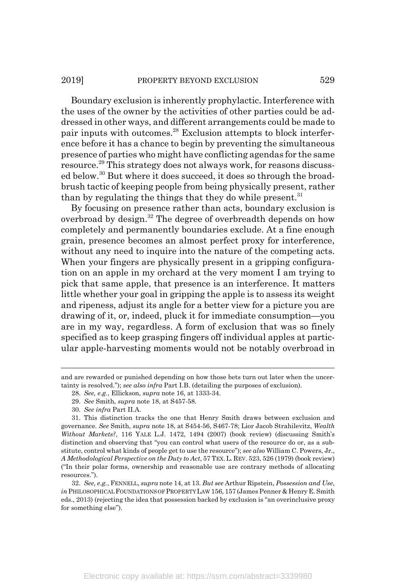#### 2019] PROPERTY BEYOND EXCLUSION 529

Boundary exclusion is inherently prophylactic. Interference with the uses of the owner by the activities of other parties could be addressed in other ways, and different arrangements could be made to pair inputs with outcomes.28 Exclusion attempts to block interference before it has a chance to begin by preventing the simultaneous presence of parties who might have conflicting agendas for the same resource.29 This strategy does not always work, for reasons discussed below.30 But where it does succeed, it does so through the broadbrush tactic of keeping people from being physically present, rather than by regulating the things that they do while present.<sup>31</sup>

By focusing on presence rather than acts, boundary exclusion is overbroad by design.<sup>32</sup> The degree of overbreadth depends on how completely and permanently boundaries exclude. At a fine enough grain, presence becomes an almost perfect proxy for interference, without any need to inquire into the nature of the competing acts. When your fingers are physically present in a gripping configuration on an apple in my orchard at the very moment I am trying to pick that same apple, that presence is an interference. It matters little whether your goal in gripping the apple is to assess its weight and ripeness, adjust its angle for a better view for a picture you are drawing of it, or, indeed, pluck it for immediate consumption—you are in my way, regardless. A form of exclusion that was so finely specified as to keep grasping fingers off individual apples at particular apple-harvesting moments would not be notably overbroad in

29. *See* Smith, *supra* note 18, at S457-58.

and are rewarded or punished depending on how those bets turn out later when the uncertainty is resolved."); *see also infra* Part I.B. (detailing the purposes of exclusion).

<sup>28.</sup> *See, e.g.*, Ellickson, *supra* note 16, at 1333-34.

<sup>30.</sup> *See infra* Part II.A.

<sup>31.</sup> This distinction tracks the one that Henry Smith draws between exclusion and governance. *See* Smith, *supra* note 18, at S454-56, S467-78; Lior Jacob Strahilevitz, *Wealth Without Markets?*, 116 YALE L.J. 1472, 1494 (2007) (book review) (discussing Smith's distinction and observing that "you can control what users of the resource do or, as a substitute, control what kinds of people get to use the resource"); *see also* William C. Powers, Jr., *A Methodological Perspective on the Duty to Act*, 57 TEX.L.REV. 523, 526 (1979) (book review) ("In their polar forms, ownership and reasonable use are contrary methods of allocating resources.").

<sup>32.</sup> *See, e.g.*, FENNELL, *supra* note 14, at 13. *But see* Arthur Ripstein, *Possession and Use*, *in* PHILOSOPHICAL FOUNDATIONS OF PROPERTY LAW 156, 157 (James Penner & Henry E. Smith eds., 2013) (rejecting the idea that possession backed by exclusion is "an overinclusive proxy for something else").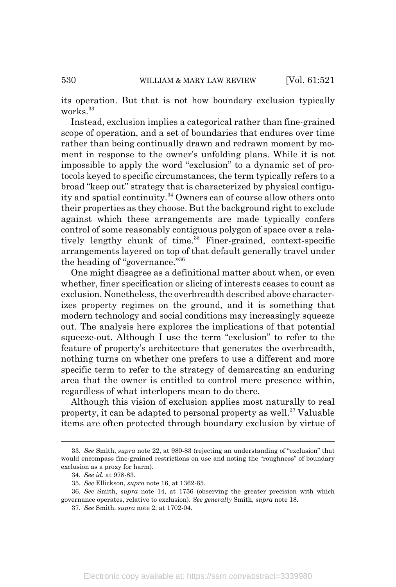its operation. But that is not how boundary exclusion typically works.<sup>33</sup>

Instead, exclusion implies a categorical rather than fine-grained scope of operation, and a set of boundaries that endures over time rather than being continually drawn and redrawn moment by moment in response to the owner's unfolding plans. While it is not impossible to apply the word "exclusion" to a dynamic set of protocols keyed to specific circumstances, the term typically refers to a broad "keep out" strategy that is characterized by physical contiguity and spatial continuity.34 Owners can of course allow others onto their properties as they choose. But the background right to exclude against which these arrangements are made typically confers control of some reasonably contiguous polygon of space over a relatively lengthy chunk of time. $35$  Finer-grained, context-specific arrangements layered on top of that default generally travel under the heading of "governance."36

One might disagree as a definitional matter about when, or even whether, finer specification or slicing of interests ceases to count as exclusion. Nonetheless, the overbreadth described above characterizes property regimes on the ground, and it is something that modern technology and social conditions may increasingly squeeze out. The analysis here explores the implications of that potential squeeze-out. Although I use the term "exclusion" to refer to the feature of property's architecture that generates the overbreadth, nothing turns on whether one prefers to use a different and more specific term to refer to the strategy of demarcating an enduring area that the owner is entitled to control mere presence within, regardless of what interlopers mean to do there.

Although this vision of exclusion applies most naturally to real property, it can be adapted to personal property as well.<sup>37</sup> Valuable items are often protected through boundary exclusion by virtue of

<sup>33.</sup> *See* Smith, *supra* note 22, at 980-83 (rejecting an understanding of "exclusion" that would encompass fine-grained restrictions on use and noting the "roughness" of boundary exclusion as a proxy for harm).

<sup>34.</sup> *See id.* at 978-83.

<sup>35.</sup> *See* Ellickson, *supra* note 16, at 1362-65.

<sup>36.</sup> *See* Smith, *supra* note 14, at 1756 (observing the greater precision with which governance operates, relative to exclusion). *See generally* Smith, *supra* note 18.

<sup>37.</sup> *See* Smith, *supra* note 2, at 1702-04.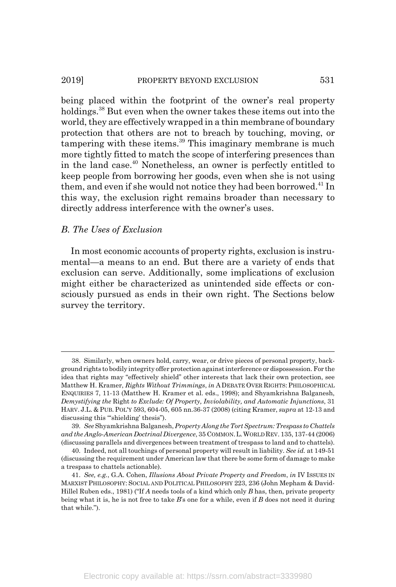#### 2019] **PROPERTY BEYOND EXCLUSION** 531

being placed within the footprint of the owner's real property holdings.38 But even when the owner takes these items out into the world, they are effectively wrapped in a thin membrane of boundary protection that others are not to breach by touching, moving, or tampering with these items. $39$  This imaginary membrane is much more tightly fitted to match the scope of interfering presences than in the land case.40 Nonetheless, an owner is perfectly entitled to keep people from borrowing her goods, even when she is not using them, and even if she would not notice they had been borrowed.<sup>41</sup> In this way, the exclusion right remains broader than necessary to directly address interference with the owner's uses.

#### *B. The Uses of Exclusion*

In most economic accounts of property rights, exclusion is instrumental—a means to an end. But there are a variety of ends that exclusion can serve. Additionally, some implications of exclusion might either be characterized as unintended side effects or consciously pursued as ends in their own right. The Sections below survey the territory.

<sup>38.</sup> Similarly, when owners hold, carry, wear, or drive pieces of personal property, background rights to bodily integrity offer protection against interference or dispossession. For the idea that rights may "effectively shield" other interests that lack their own protection, see Matthew H. Kramer, *Rights Without Trimmings*, *in* A DEBATE OVER RIGHTS:PHILOSOPHICAL ENQUIRIES 7, 11-13 (Matthew H. Kramer et al. eds., 1998); and Shyamkrishna Balganesh, *Demystifying the* Right *to Exclude: Of Property, Inviolability, and Automatic Injunctions*, 31 HARV. J.L. & PUB. POL'Y 593, 604-05, 605 nn.36-37 (2008) (citing Kramer, *supra* at 12-13 and discussing this "'shielding' thesis").

<sup>39.</sup> *See* Shyamkrishna Balganesh, *Property Along the Tort Spectrum: Trespass to Chattels and the Anglo-American Doctrinal Divergence*, 35 COMMON.L.WORLD REV. 135, 137-44 (2006) (discussing parallels and divergences between treatment of trespass to land and to chattels).

<sup>40.</sup> Indeed, not all touchings of personal property will result in liability. *See id.* at 149-51 (discussing the requirement under American law that there be some form of damage to make a trespass to chattels actionable).

<sup>41.</sup> *See, e.g.*, G.A. Cohen, *Illusions About Private Property and Freedom*, *in* IV ISSUES IN MARXIST PHILOSOPHY: SOCIAL AND POLITICAL PHILOSOPHY 223, 236 (John Mepham & David-Hillel Ruben eds., 1981) ("If *A* needs tools of a kind which only *B* has, then, private property being what it is, he is not free to take *B*'s one for a while, even if *B* does not need it during that while.").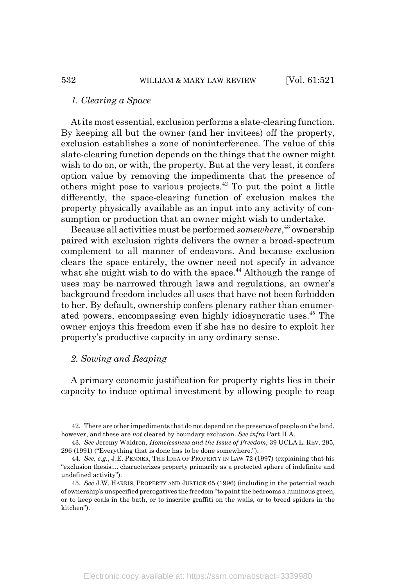#### *1. Clearing a Space*

At its most essential, exclusion performs a slate-clearing function. By keeping all but the owner (and her invitees) off the property, exclusion establishes a zone of noninterference. The value of this slate-clearing function depends on the things that the owner might wish to do on, or with, the property. But at the very least, it confers option value by removing the impediments that the presence of others might pose to various projects.42 To put the point a little differently, the space-clearing function of exclusion makes the property physically available as an input into any activity of consumption or production that an owner might wish to undertake.

Because all activities must be performed *somewhere*, 43 ownership paired with exclusion rights delivers the owner a broad-spectrum complement to all manner of endeavors. And because exclusion clears the space entirely, the owner need not specify in advance what she might wish to do with the space.<sup>44</sup> Although the range of uses may be narrowed through laws and regulations, an owner's background freedom includes all uses that have not been forbidden to her. By default, ownership confers plenary rather than enumerated powers, encompassing even highly idiosyncratic uses.45 The owner enjoys this freedom even if she has no desire to exploit her property's productive capacity in any ordinary sense.

## *2. Sowing and Reaping*

A primary economic justification for property rights lies in their capacity to induce optimal investment by allowing people to reap

<sup>42.</sup> There are other impediments that do not depend on the presence of people on the land, however, and these are *not* cleared by boundary exclusion. *See infra* Part II.A.

<sup>43.</sup> *See* Jeremy Waldron, *Homelessness and the Issue of Freedom*, 39 UCLA L. REV. 295, 296 (1991) ("Everything that is done has to be done somewhere.").

<sup>44.</sup> *See, e.g.*, J.E. PENNER, THE IDEA OF PROPERTY IN LAW 72 (1997) (explaining that his "exclusion thesis.... characterizes property primarily as a protected sphere of indefinite and undefined activity").

<sup>45.</sup> *See* J.W. HARRIS, PROPERTY AND JUSTICE 65 (1996) (including in the potential reach of ownership's unspecified prerogatives the freedom "to paint the bedrooms a luminous green, or to keep coals in the bath, or to inscribe graffiti on the walls, or to breed spiders in the kitchen").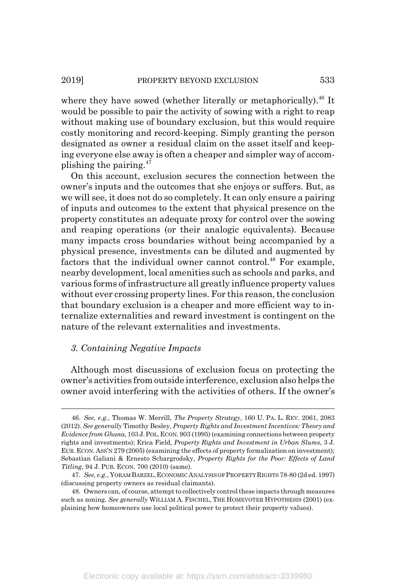where they have sowed (whether literally or metaphorically).<sup>46</sup> It would be possible to pair the activity of sowing with a right to reap without making use of boundary exclusion, but this would require costly monitoring and record-keeping. Simply granting the person designated as owner a residual claim on the asset itself and keeping everyone else away is often a cheaper and simpler way of accomplishing the pairing.  $47$ 

On this account, exclusion secures the connection between the owner's inputs and the outcomes that she enjoys or suffers. But, as we will see, it does not do so completely. It can only ensure a pairing of inputs and outcomes to the extent that physical presence on the property constitutes an adequate proxy for control over the sowing and reaping operations (or their analogic equivalents). Because many impacts cross boundaries without being accompanied by a physical presence, investments can be diluted and augmented by factors that the individual owner cannot control.<sup>48</sup> For example, nearby development, local amenities such as schools and parks, and various forms of infrastructure all greatly influence property values without ever crossing property lines. For this reason, the conclusion that boundary exclusion is a cheaper and more efficient way to internalize externalities and reward investment is contingent on the nature of the relevant externalities and investments.

## *3. Containing Negative Impacts*

Although most discussions of exclusion focus on protecting the owner's activities from outside interference, exclusion also helps the owner avoid interfering with the activities of others. If the owner's

<sup>46.</sup> *See, e.g.*, Thomas W. Merrill, *The Property Strategy*, 160 U. PA. L. REV. 2061, 2083 (2012). *See generally* Timothy Besley, *Property Rights and Investment Incentives: Theory and Evidence from Ghana*, 103 J.POL.ECON. 903 (1995) (examining connections between property rights and investments); Erica Field, *Property Rights and Investment in Urban Slums*, 3 J. EUR. ECON. ASS'N 279 (2005) (examining the effects of property formalization on investment); Sebastian Galiani & Ernesto Schargrodsky, *Property Rights for the Poor: Effects of Land Titling*, 94 J. PUB. ECON. 700 (2010) (same).

<sup>47.</sup> *See, e.g.*, YORAM BARZEL,ECONOMIC ANALYSIS OF PROPERTY RIGHTS 78-80 (2d ed. 1997) (discussing property owners as residual claimants).

<sup>48.</sup> Owners can, of course, attempt to collectively control these impacts through measures such as zoning. *See generally* WILLIAM A. FISCHEL, THE HOMEVOTER HYPOTHESIS (2001) (explaining how homeowners use local political power to protect their property values).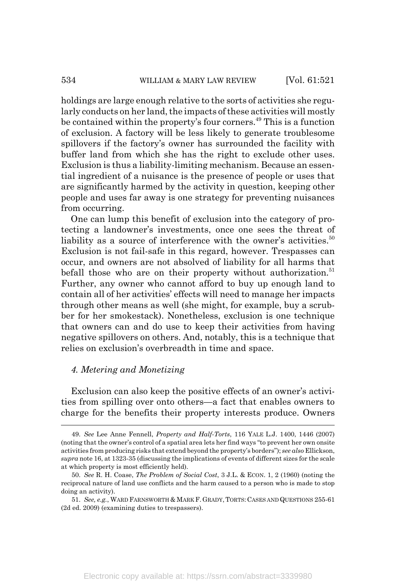holdings are large enough relative to the sorts of activities she regularly conducts on her land, the impacts of these activities will mostly be contained within the property's four corners.<sup>49</sup> This is a function of exclusion. A factory will be less likely to generate troublesome spillovers if the factory's owner has surrounded the facility with buffer land from which she has the right to exclude other uses. Exclusion is thus a liability-limiting mechanism. Because an essential ingredient of a nuisance is the presence of people or uses that are significantly harmed by the activity in question, keeping other people and uses far away is one strategy for preventing nuisances from occurring.

One can lump this benefit of exclusion into the category of protecting a landowner's investments, once one sees the threat of liability as a source of interference with the owner's activities.<sup>50</sup> Exclusion is not fail-safe in this regard, however. Trespasses can occur, and owners are not absolved of liability for all harms that befall those who are on their property without authorization.<sup>51</sup> Further, any owner who cannot afford to buy up enough land to contain all of her activities' effects will need to manage her impacts through other means as well (she might, for example, buy a scrubber for her smokestack). Nonetheless, exclusion is one technique that owners can and do use to keep their activities from having negative spillovers on others. And, notably, this is a technique that relies on exclusion's overbreadth in time and space.

## *4. Metering and Monetizing*

Exclusion can also keep the positive effects of an owner's activities from spilling over onto others—a fact that enables owners to charge for the benefits their property interests produce. Owners

<sup>49.</sup> *See* Lee Anne Fennell, *Property and Half-Torts*, 116 YALE L.J. 1400, 1446 (2007) (noting that the owner's control of a spatial area lets her find ways "to prevent her own onsite activities from producing risks that extend beyond the property's borders"); *see also* Ellickson, *supra* note 16, at 1323-35 (discussing the implications of events of different sizes for the scale at which property is most efficiently held).

<sup>50.</sup> *See* R. H. Coase, *The Problem of Social Cost*, 3 J.L. & ECON. 1, 2 (1960) (noting the reciprocal nature of land use conflicts and the harm caused to a person who is made to stop doing an activity).

<sup>51.</sup> See, e.g., WARD FARNSWORTH & MARK F. GRADY, TORTS: CASES AND QUESTIONS 255-61 (2d ed. 2009) (examining duties to trespassers).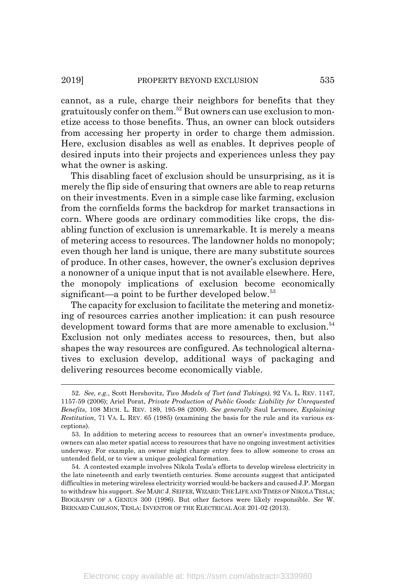cannot, as a rule, charge their neighbors for benefits that they gratuitously confer on them.52 But owners can use exclusion to monetize access to those benefits. Thus, an owner can block outsiders from accessing her property in order to charge them admission. Here, exclusion disables as well as enables. It deprives people of desired inputs into their projects and experiences unless they pay what the owner is asking.

This disabling facet of exclusion should be unsurprising, as it is merely the flip side of ensuring that owners are able to reap returns on their investments. Even in a simple case like farming, exclusion from the cornfields forms the backdrop for market transactions in corn. Where goods are ordinary commodities like crops, the disabling function of exclusion is unremarkable. It is merely a means of metering access to resources. The landowner holds no monopoly; even though her land is unique, there are many substitute sources of produce. In other cases, however, the owner's exclusion deprives a nonowner of a unique input that is not available elsewhere. Here, the monopoly implications of exclusion become economically significant—a point to be further developed below.<sup>53</sup>

The capacity for exclusion to facilitate the metering and monetizing of resources carries another implication: it can push resource development toward forms that are more amenable to exclusion.<sup>54</sup> Exclusion not only mediates access to resources, then, but also shapes the way resources are configured. As technological alternatives to exclusion develop, additional ways of packaging and delivering resources become economically viable.

<sup>52.</sup> *See, e.g.*, Scott Hershovitz, *Two Models of Tort (and Takings)*, 92 VA. L. REV. 1147, 1157-59 (2006); Ariel Porat, *Private Production of Public Goods: Liability for Unrequested Benefits*, 108 MICH. L. REV. 189, 195-98 (2009). *See generally* Saul Levmore, *Explaining Restitution*, 71 VA. L. REV. 65 (1985) (examining the basis for the rule and its various exceptions).

<sup>53.</sup> In addition to metering access to resources that an owner's investments produce, owners can also meter spatial access to resources that have no ongoing investment activities underway. For example, an owner might charge entry fees to allow someone to cross an untended field, or to view a unique geological formation.

<sup>54.</sup> A contested example involves Nikola Tesla's efforts to develop wireless electricity in the late nineteenth and early twentieth centuries. Some accounts suggest that anticipated difficulties in metering wireless electricity worried would-be backers and caused J.P. Morgan to withdraw his support. *See* MARC J. SEIFER,WIZARD:THE LIFE AND TIMES OF NIKOLA TESLA; BIOGRAPHY OF A GENIUS 300 (1996). But other factors were likely responsible. *See* W. BERNARD CARLSON, TESLA: INVENTOR OF THE ELECTRICAL AGE 201-02 (2013).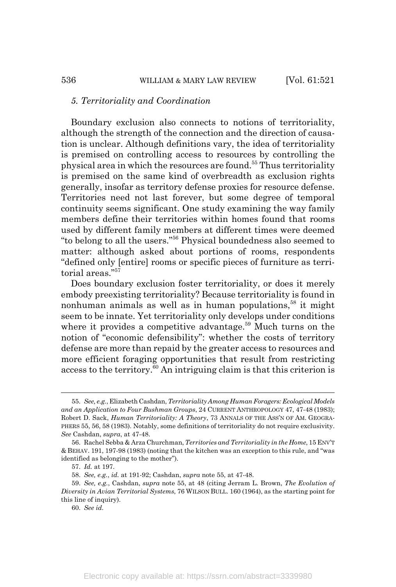#### *5. Territoriality and Coordination*

Boundary exclusion also connects to notions of territoriality, although the strength of the connection and the direction of causation is unclear. Although definitions vary, the idea of territoriality is premised on controlling access to resources by controlling the physical area in which the resources are found.55 Thus territoriality is premised on the same kind of overbreadth as exclusion rights generally, insofar as territory defense proxies for resource defense. Territories need not last forever, but some degree of temporal continuity seems significant. One study examining the way family members define their territories within homes found that rooms used by different family members at different times were deemed "to belong to all the users."56 Physical boundedness also seemed to matter: although asked about portions of rooms, respondents "defined only [entire] rooms or specific pieces of furniture as territorial areas<sup>"57</sup>

Does boundary exclusion foster territoriality, or does it merely embody preexisting territoriality? Because territoriality is found in nonhuman animals as well as in human populations, $58$  it might seem to be innate. Yet territoriality only develops under conditions where it provides a competitive advantage.<sup>59</sup> Much turns on the notion of "economic defensibility": whether the costs of territory defense are more than repaid by the greater access to resources and more efficient foraging opportunities that result from restricting access to the territory.<sup>60</sup> An intriguing claim is that this criterion is

60. *See id.*

<sup>55.</sup> *See, e.g.*, Elizabeth Cashdan, *Territoriality Among Human Foragers: Ecological Models and an Application to Four Bushman Groups*, 24 CURRENT ANTHROPOLOGY 47, 47-48 (1983); Robert D. Sack, *Human Territoriality: A Theory*, 73 ANNALS OF THE ASS'N OF AM. GEOGRA-PHERS 55, 56, 58 (1983). Notably, some definitions of territoriality do not require exclusivity. *See* Cashdan, *supra*, at 47-48.

<sup>56.</sup> Rachel Sebba & Arza Churchman, *Territories and Territoriality in the Home*, 15 ENV'T & BEHAV. 191, 197-98 (1983) (noting that the kitchen was an exception to this rule, and "was identified as belonging to the mother").

<sup>57.</sup> *Id.* at 197.

<sup>58.</sup> *See, e.g.*, *id.* at 191-92; Cashdan, *supra* note 55, at 47-48.

<sup>59.</sup> *See, e.g.*, Cashdan, *supra* note 55, at 48 (citing Jerram L. Brown, *The Evolution of Diversity in Avian Territorial Systems*, 76 WILSON BULL. 160 (1964), as the starting point for this line of inquiry).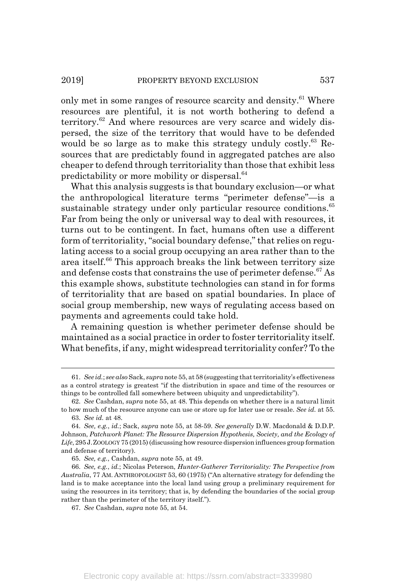only met in some ranges of resource scarcity and density.<sup>61</sup> Where resources are plentiful, it is not worth bothering to defend a territory.<sup>62</sup> And where resources are very scarce and widely dispersed, the size of the territory that would have to be defended would be so large as to make this strategy unduly costly.<sup>63</sup> Resources that are predictably found in aggregated patches are also cheaper to defend through territoriality than those that exhibit less predictability or more mobility or dispersal.64

What this analysis suggests is that boundary exclusion—or what the anthropological literature terms "perimeter defense"—is a sustainable strategy under only particular resource conditions.<sup>65</sup> Far from being the only or universal way to deal with resources, it turns out to be contingent. In fact, humans often use a different form of territoriality, "social boundary defense," that relies on regulating access to a social group occupying an area rather than to the area itself.<sup>66</sup> This approach breaks the link between territory size and defense costs that constrains the use of perimeter defense.<sup>67</sup> As this example shows, substitute technologies can stand in for forms of territoriality that are based on spatial boundaries. In place of social group membership, new ways of regulating access based on payments and agreements could take hold.

A remaining question is whether perimeter defense should be maintained as a social practice in order to foster territoriality itself. What benefits, if any, might widespread territoriality confer? To the

<sup>61.</sup> *See id.*; *see also* Sack, *supra* note 55, at 58 (suggesting that territoriality's effectiveness as a control strategy is greatest "if the distribution in space and time of the resources or things to be controlled fall somewhere between ubiquity and unpredictability").

<sup>62.</sup> *See* Cashdan, *supra* note 55, at 48. This depends on whether there is a natural limit to how much of the resource anyone can use or store up for later use or resale. *See id.* at 55.

<sup>63.</sup> *See id.* at 48.

<sup>64.</sup> *See, e.g.*, *id.*; Sack, *supra* note 55, at 58-59. *See generally* D.W. Macdonald & D.D.P. Johnson, *Patchwork Planet: The Resource Dispersion Hypothesis, Society, and the Ecology of Life*, 295 J.ZOOLOGY 75 (2015) (discussing how resource dispersion influences group formation and defense of territory).

<sup>65.</sup> *See, e.g.*, Cashdan, *supra* note 55, at 49.

<sup>66.</sup> *See, e.g.*, *id.*; Nicolas Peterson, *Hunter-Gatherer Territoriality: The Perspective from Australia*, 77 AM. ANTHROPOLOGIST 53, 60 (1975) ("An alternative strategy for defending the land is to make acceptance into the local land using group a preliminary requirement for using the resources in its territory; that is, by defending the boundaries of the social group rather than the perimeter of the territory itself.").

<sup>67.</sup> *See* Cashdan, *supra* note 55, at 54.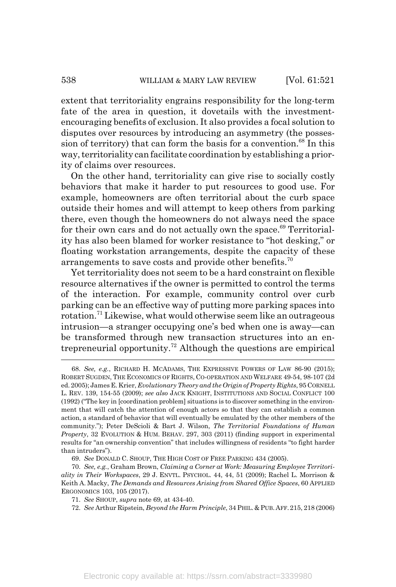extent that territoriality engrains responsibility for the long-term fate of the area in question, it dovetails with the investmentencouraging benefits of exclusion. It also provides a focal solution to disputes over resources by introducing an asymmetry (the possession of territory) that can form the basis for a convention.<sup>68</sup> In this way, territoriality can facilitate coordination by establishing a priority of claims over resources.

On the other hand, territoriality can give rise to socially costly behaviors that make it harder to put resources to good use. For example, homeowners are often territorial about the curb space outside their homes and will attempt to keep others from parking there, even though the homeowners do not always need the space for their own cars and do not actually own the space. $69$  Territoriality has also been blamed for worker resistance to "hot desking," or floating workstation arrangements, despite the capacity of these arrangements to save costs and provide other benefits.<sup>70</sup>

Yet territoriality does not seem to be a hard constraint on flexible resource alternatives if the owner is permitted to control the terms of the interaction. For example, community control over curb parking can be an effective way of putting more parking spaces into rotation.71 Likewise, what would otherwise seem like an outrageous intrusion—a stranger occupying one's bed when one is away—can be transformed through new transaction structures into an entrepreneurial opportunity.<sup>72</sup> Although the questions are empirical

<sup>68.</sup> *See, e.g.*, RICHARD H. MCADAMS, THE EXPRESSIVE POWERS OF LAW 86-90 (2015); ROBERT SUGDEN, THE ECONOMICS OF RIGHTS, CO-OPERATION AND WELFARE 49-54, 98-107 (2d ed. 2005); James E. Krier, *Evolutionary Theory and the Origin of Property Rights*, 95 CORNELL L. REV. 139, 154-55 (2009); *see also* JACK KNIGHT, INSTITUTIONS AND SOCIAL CONFLICT 100 (1992) ("The key in [coordination problem] situations is to discover something in the environment that will catch the attention of enough actors so that they can establish a common action, a standard of behavior that will eventually be emulated by the other members of the community."); Peter DeScioli & Bart J. Wilson, *The Territorial Foundations of Human Property*, 32 EVOLUTION & HUM. BEHAV. 297, 303 (2011) (finding support in experimental results for "an ownership convention" that includes willingness of residents "to fight harder than intruders").

<sup>69.</sup> *See* DONALD C. SHOUP, THE HIGH COST OF FREE PARKING 434 (2005).

<sup>70.</sup> *See, e.g.*, Graham Brown, *Claiming a Corner at Work: Measuring Employee Territoriality in Their Workspaces*, 29 J. ENVTL. PSYCHOL. 44, 44, 51 (2009); Rachel L. Morrison & Keith A. Macky, *The Demands and Resources Arising from Shared Office Spaces*, 60 APPLIED ERGONOMICS 103, 105 (2017).

<sup>71.</sup> *See* SHOUP, *supra* note 69, at 434-40.

<sup>72.</sup> *See* Arthur Ripstein, *Beyond the Harm Principle*, 34 PHIL. & PUB.AFF.215, 218 (2006)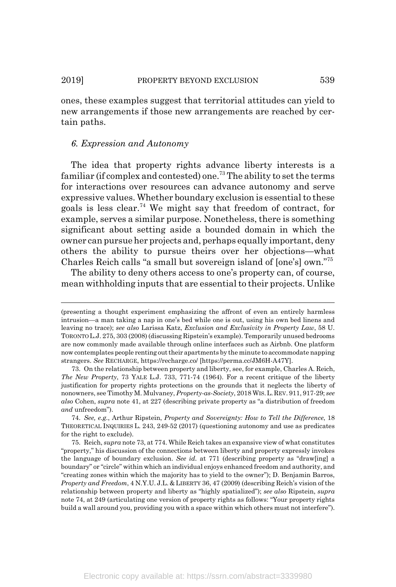ones, these examples suggest that territorial attitudes can yield to new arrangements if those new arrangements are reached by certain paths.

### *6. Expression and Autonomy*

The idea that property rights advance liberty interests is a familiar (if complex and contested) one.<sup>73</sup> The ability to set the terms for interactions over resources can advance autonomy and serve expressive values. Whether boundary exclusion is essential to these goals is less clear.<sup>74</sup> We might say that freedom of contract, for example, serves a similar purpose. Nonetheless, there is something significant about setting aside a bounded domain in which the owner can pursue her projects and, perhaps equally important, deny others the ability to pursue theirs over her objections—what Charles Reich calls "a small but sovereign island of [one's] own."75

The ability to deny others access to one's property can, of course, mean withholding inputs that are essential to their projects. Unlike

<sup>(</sup>presenting a thought experiment emphasizing the affront of even an entirely harmless intrusion—a man taking a nap in one's bed while one is out, using his own bed linens and leaving no trace); *see also* Larissa Katz, *Exclusion and Exclusivity in Property Law*, 58 U. TORONTO L.J. 275, 303 (2008) (discussing Ripstein's example). Temporarily unused bedrooms are now commonly made available through online interfaces such as Airbnb. One platform now contemplates people renting out their apartments by the minute to accommodate napping strangers. *See* RECHARGE, https://recharge.co/ [https://perma.cc/JM6H-A47Y].

<sup>73.</sup> On the relationship between property and liberty, see, for example, Charles A. Reich, *The New Property*, 73 YALE L.J. 733, 771-74 (1964). For a recent critique of the liberty justification for property rights protections on the grounds that it neglects the liberty of nonowners, see Timothy M. Mulvaney, *Property-as-Society*, 2018 WIS.L.REV. 911, 917-29; *see also* Cohen, *supra* note 41, at 227 (describing private property as "a distribution of freedom *and* unfreedom").

<sup>74.</sup> *See, e.g.*, Arthur Ripstein, *Property and Sovereignty: How to Tell the Difference*, 18 THEORETICAL INQUIRIES L. 243, 249-52 (2017) (questioning autonomy and use as predicates for the right to exclude).

<sup>75.</sup> Reich, *supra* note 73, at 774. While Reich takes an expansive view of what constitutes "property," his discussion of the connections between liberty and property expressly invokes the language of boundary exclusion. *See id.* at 771 (describing property as "draw[ing] a boundary" or "circle" within which an individual enjoys enhanced freedom and authority, and "creating zones within which the majority has to yield to the owner"); D. Benjamin Barros, *Property and Freedom*, 4 N.Y.U. J.L. & LIBERTY 36, 47 (2009) (describing Reich's vision of the relationship between property and liberty as "highly spatialized"); *see also* Ripstein, *supra* note 74, at 249 (articulating one version of property rights as follows: "Your property rights build a wall around you, providing you with a space within which others must not interfere").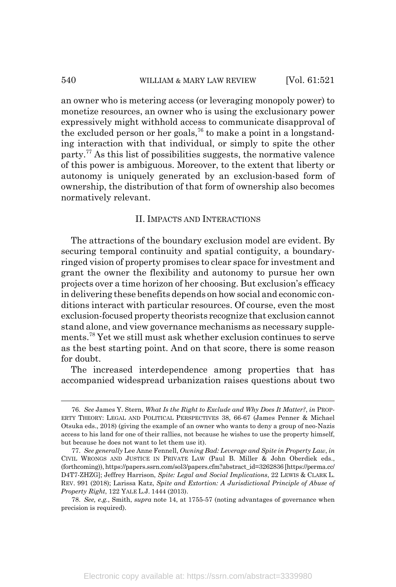an owner who is metering access (or leveraging monopoly power) to monetize resources, an owner who is using the exclusionary power expressively might withhold access to communicate disapproval of the excluded person or her goals,<sup>76</sup> to make a point in a longstanding interaction with that individual, or simply to spite the other party.77 As this list of possibilities suggests, the normative valence of this power is ambiguous. Moreover, to the extent that liberty or autonomy is uniquely generated by an exclusion-based form of ownership, the distribution of that form of ownership also becomes normatively relevant.

#### II. IMPACTS AND INTERACTIONS

The attractions of the boundary exclusion model are evident. By securing temporal continuity and spatial contiguity, a boundaryringed vision of property promises to clear space for investment and grant the owner the flexibility and autonomy to pursue her own projects over a time horizon of her choosing. But exclusion's efficacy in delivering these benefits depends on how social and economic conditions interact with particular resources. Of course, even the most exclusion-focused property theorists recognize that exclusion cannot stand alone, and view governance mechanisms as necessary supplements.78 Yet we still must ask whether exclusion continues to serve as the best starting point. And on that score, there is some reason for doubt.

The increased interdependence among properties that has accompanied widespread urbanization raises questions about two

<sup>76.</sup> *See* James Y. Stern, *What Is the Right to Exclude and Why Does It Matter?*, *in* PROP-ERTY THEORY: LEGAL AND POLITICAL PERSPECTIVES 38, 66-67 (James Penner & Michael Otsuka eds., 2018) (giving the example of an owner who wants to deny a group of neo-Nazis access to his land for one of their rallies, not because he wishes to use the property himself, but because he does not want to let them use it).

<sup>77.</sup> *See generally* Lee Anne Fennell, *Owning Bad: Leverage and Spite in Property Law*, *in* CIVIL WRONGS AND JUSTICE IN PRIVATE LAW (Paul B. Miller & John Oberdiek eds., (forthcoming)), https://papers.ssrn.com/sol3/papers.cfm?abstract\_id=3262836 [https://perma.cc/ D4T7-ZHZG]; Jeffrey Harrison, *Spite: Legal and Social Implications*, 22 LEWIS & CLARK L. REV. 991 (2018); Larissa Katz, *Spite and Extortion: A Jurisdictional Principle of Abuse of Property Right*, 122 YALE L.J. 1444 (2013).

<sup>78.</sup> *See, e.g.*, Smith, *supra* note 14, at 1755-57 (noting advantages of governance when precision is required).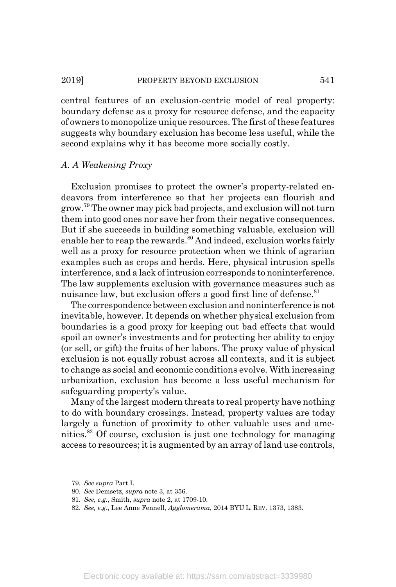#### 2019] PROPERTY BEYOND EXCLUSION 541

central features of an exclusion-centric model of real property: boundary defense as a proxy for resource defense, and the capacity of owners to monopolize unique resources. The first of these features suggests why boundary exclusion has become less useful, while the second explains why it has become more socially costly.

## *A. A Weakening Proxy*

Exclusion promises to protect the owner's property-related endeavors from interference so that her projects can flourish and grow.<sup>79</sup> The owner may pick bad projects, and exclusion will not turn them into good ones nor save her from their negative consequences. But if she succeeds in building something valuable, exclusion will enable her to reap the rewards. $80$  And indeed, exclusion works fairly well as a proxy for resource protection when we think of agrarian examples such as crops and herds. Here, physical intrusion spells interference, and a lack of intrusion corresponds to noninterference. The law supplements exclusion with governance measures such as nuisance law, but exclusion offers a good first line of defense.<sup>81</sup>

The correspondence between exclusion and noninterference is not inevitable, however. It depends on whether physical exclusion from boundaries is a good proxy for keeping out bad effects that would spoil an owner's investments and for protecting her ability to enjoy (or sell, or gift) the fruits of her labors. The proxy value of physical exclusion is not equally robust across all contexts, and it is subject to change as social and economic conditions evolve. With increasing urbanization, exclusion has become a less useful mechanism for safeguarding property's value.

Many of the largest modern threats to real property have nothing to do with boundary crossings. Instead, property values are today largely a function of proximity to other valuable uses and amenities.82 Of course, exclusion is just one technology for managing access to resources; it is augmented by an array of land use controls,

<sup>79.</sup> *See supra* Part I.

<sup>80.</sup> *See* Demsetz, *supra* note 3, at 356.

<sup>81.</sup> *See, e.g.*, Smith, *supra* note 2, at 1709-10.

<sup>82.</sup> *See, e.g.*, Lee Anne Fennell, *Agglomerama*, 2014 BYU L. REV. 1373, 1383.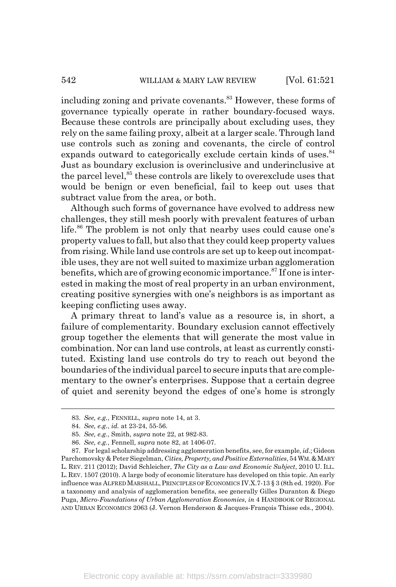including zoning and private covenants.<sup>83</sup> However, these forms of governance typically operate in rather boundary-focused ways. Because these controls are principally about excluding uses, they rely on the same failing proxy, albeit at a larger scale. Through land use controls such as zoning and covenants, the circle of control expands outward to categorically exclude certain kinds of uses.<sup>84</sup> Just as boundary exclusion is overinclusive and underinclusive at the parcel level,<sup>85</sup> these controls are likely to overexclude uses that would be benign or even beneficial, fail to keep out uses that subtract value from the area, or both.

Although such forms of governance have evolved to address new challenges, they still mesh poorly with prevalent features of urban life.<sup>86</sup> The problem is not only that nearby uses could cause one's property values to fall, but also that they could keep property values from rising. While land use controls are set up to keep out incompatible uses, they are not well suited to maximize urban agglomeration benefits, which are of growing economic importance.<sup>87</sup> If one is interested in making the most of real property in an urban environment, creating positive synergies with one's neighbors is as important as keeping conflicting uses away.

A primary threat to land's value as a resource is, in short, a failure of complementarity. Boundary exclusion cannot effectively group together the elements that will generate the most value in combination. Nor can land use controls, at least as currently constituted. Existing land use controls do try to reach out beyond the boundaries of the individual parcel to secure inputs that are complementary to the owner's enterprises. Suppose that a certain degree of quiet and serenity beyond the edges of one's home is strongly

<sup>83.</sup> *See, e.g.*, FENNELL, *supra* note 14, at 3.

<sup>84.</sup> *See, e.g.*, *id.* at 23-24, 55-56.

<sup>85.</sup> *See, e.g.*, Smith, *supra* note 22, at 982-83.

<sup>86.</sup> *See, e.g.*, Fennell, *supra* note 82, at 1406-07.

<sup>87.</sup> For legal scholarship addressing agglomeration benefits, see, for example, *id.*; Gideon Parchomovsky & Peter Siegelman, *Cities, Property, and Positive Externalities*, 54 WM.&MARY L. REV. 211 (2012); David Schleicher, *The City as a Law and Economic Subject*, 2010 U. ILL. L. REV. 1507 (2010). A large body of economic literature has developed on this topic. An early influence was ALFRED MARSHALL, PRINCIPLES OF ECONOMICS IV.X.7-13 § 3 (8th ed. 1920). For a taxonomy and analysis of agglomeration benefits, see generally Gilles Duranton & Diego Puga, *Micro-Foundations of Urban Agglomeration Economies*, *in* 4 HANDBOOK OF REGIONAL AND URBAN ECONOMICS 2063 (J. Vernon Henderson & Jacques-François Thisse eds., 2004).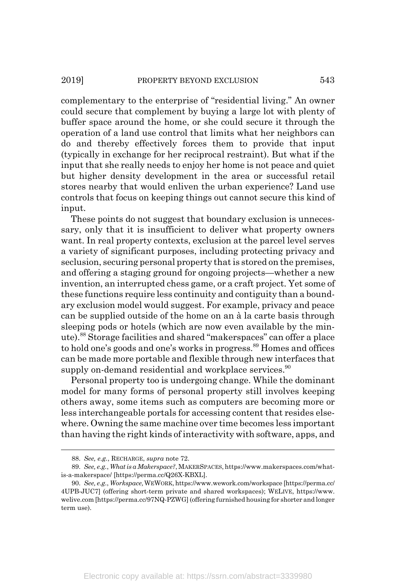complementary to the enterprise of "residential living." An owner could secure that complement by buying a large lot with plenty of buffer space around the home, or she could secure it through the operation of a land use control that limits what her neighbors can do and thereby effectively forces them to provide that input (typically in exchange for her reciprocal restraint). But what if the input that she really needs to enjoy her home is not peace and quiet but higher density development in the area or successful retail stores nearby that would enliven the urban experience? Land use controls that focus on keeping things out cannot secure this kind of input.

These points do not suggest that boundary exclusion is unnecessary, only that it is insufficient to deliver what property owners want. In real property contexts, exclusion at the parcel level serves a variety of significant purposes, including protecting privacy and seclusion, securing personal property that is stored on the premises, and offering a staging ground for ongoing projects—whether a new invention, an interrupted chess game, or a craft project. Yet some of these functions require less continuity and contiguity than a boundary exclusion model would suggest. For example, privacy and peace can be supplied outside of the home on an à la carte basis through sleeping pods or hotels (which are now even available by the minute).88 Storage facilities and shared "makerspaces" can offer a place to hold one's goods and one's works in progress.<sup>89</sup> Homes and offices can be made more portable and flexible through new interfaces that supply on-demand residential and workplace services.<sup>90</sup>

Personal property too is undergoing change. While the dominant model for many forms of personal property still involves keeping others away, some items such as computers are becoming more or less interchangeable portals for accessing content that resides elsewhere. Owning the same machine over time becomes less important than having the right kinds of interactivity with software, apps, and

<sup>88.</sup> *See, e.g.*, RECHARGE, *supra* note 72.

<sup>89.</sup> *See, e.g.*, *What is a Makerspace?*, MAKERSPACES, https://www.makerspaces.com/whatis-a-makerspace/ [https://perma.cc/Q26X-KBXL].

<sup>90.</sup> *See, e.g.*, *Workspace,*WEWORK, https://www.wework.com/workspace [https://perma.cc/ 4UPB-JUC7] (offering short-term private and shared workspaces); WELIVE, https://www. welive.com [https://perma.cc/97NQ-PZWG] (offering furnished housing for shorter and longer term use).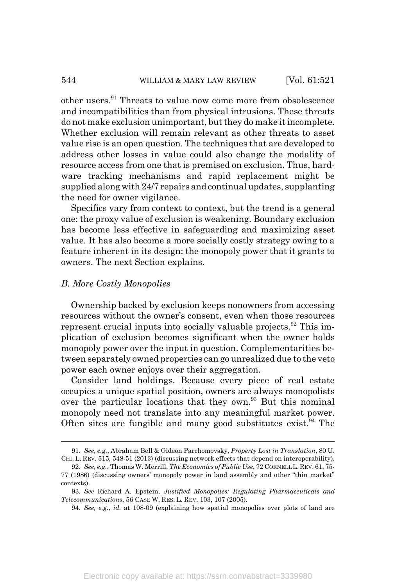#### 544 WILLIAM & MARY LAW REVIEW [Vol. 61:521]

other users.<sup>91</sup> Threats to value now come more from obsolescence and incompatibilities than from physical intrusions. These threats do not make exclusion unimportant, but they do make it incomplete. Whether exclusion will remain relevant as other threats to asset value rise is an open question. The techniques that are developed to address other losses in value could also change the modality of resource access from one that is premised on exclusion. Thus, hardware tracking mechanisms and rapid replacement might be supplied along with 24/7 repairs and continual updates, supplanting the need for owner vigilance.

Specifics vary from context to context, but the trend is a general one: the proxy value of exclusion is weakening. Boundary exclusion has become less effective in safeguarding and maximizing asset value. It has also become a more socially costly strategy owing to a feature inherent in its design: the monopoly power that it grants to owners. The next Section explains.

#### *B. More Costly Monopolies*

Ownership backed by exclusion keeps nonowners from accessing resources without the owner's consent, even when those resources represent crucial inputs into socially valuable projects. $92$  This implication of exclusion becomes significant when the owner holds monopoly power over the input in question. Complementarities between separately owned properties can go unrealized due to the veto power each owner enjoys over their aggregation.

Consider land holdings. Because every piece of real estate occupies a unique spatial position, owners are always monopolists over the particular locations that they own.<sup>93</sup> But this nominal monopoly need not translate into any meaningful market power. Often sites are fungible and many good substitutes exist.<sup>94</sup> The

<sup>91.</sup> *See, e.g.*, Abraham Bell & Gideon Parchomovsky, *Property Lost in Translation*, 80 U. CHI. L. REV. 515, 548-51 (2013) (discussing network effects that depend on interoperability).

<sup>92.</sup> *See, e.g.*, Thomas W. Merrill, *The Economics of Public Use*, 72 CORNELL L.REV. 61, 75- 77 (1986) (discussing owners' monopoly power in land assembly and other "thin market" contexts).

<sup>93.</sup> *See* Richard A. Epstein, *Justified Monopolies: Regulating Pharmaceuticals and Telecommunications*, 56 CASE W. RES. L. REV. 103, 107 (2005).

<sup>94.</sup> *See, e.g.*, *id.* at 108-09 (explaining how spatial monopolies over plots of land are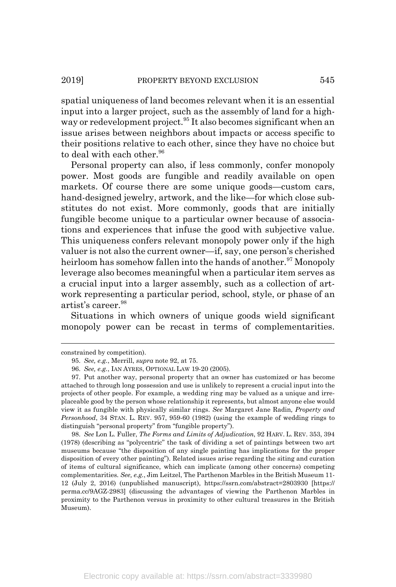spatial uniqueness of land becomes relevant when it is an essential input into a larger project, such as the assembly of land for a highway or redevelopment project.<sup>95</sup> It also becomes significant when an issue arises between neighbors about impacts or access specific to their positions relative to each other, since they have no choice but to deal with each other.<sup>96</sup>

Personal property can also, if less commonly, confer monopoly power. Most goods are fungible and readily available on open markets. Of course there are some unique goods—custom cars, hand-designed jewelry, artwork, and the like—for which close substitutes do not exist. More commonly, goods that are initially fungible become unique to a particular owner because of associations and experiences that infuse the good with subjective value. This uniqueness confers relevant monopoly power only if the high valuer is not also the current owner—if, say, one person's cherished heirloom has somehow fallen into the hands of another.<sup>97</sup> Monopoly leverage also becomes meaningful when a particular item serves as a crucial input into a larger assembly, such as a collection of artwork representing a particular period, school, style, or phase of an artist's career.<sup>98</sup>

Situations in which owners of unique goods wield significant monopoly power can be recast in terms of complementarities.

98. *See* Lon L. Fuller, *The Forms and Limits of Adjudication*, 92 HARV. L. REV. 353, 394 (1978) (describing as "polycentric" the task of dividing a set of paintings between two art museums because "the disposition of any single painting has implications for the proper disposition of every other painting"). Related issues arise regarding the siting and curation of items of cultural significance, which can implicate (among other concerns) competing complementarities*. See, e.g.*, Jim Leitzel, The Parthenon Marbles in the British Museum 11- 12 (July 2, 2016) (unpublished manuscript), https://ssrn.com/abstract=2803930 [https:// perma.cc/9AGZ-2983] (discussing the advantages of viewing the Parthenon Marbles in proximity to the Parthenon versus in proximity to other cultural treasures in the British Museum).

constrained by competition).

<sup>95.</sup> *See, e.g.*, Merrill, *supra* note 92, at 75.

<sup>96.</sup> *See, e.g.*, IAN AYRES, OPTIONAL LAW 19-20 (2005).

<sup>97.</sup> Put another way, personal property that an owner has customized or has become attached to through long possession and use is unlikely to represent a crucial input into the projects of other people. For example, a wedding ring may be valued as a unique and irreplaceable good by the person whose relationship it represents, but almost anyone else would view it as fungible with physically similar rings. *See* Margaret Jane Radin*, Property and Personhood*, 34 STAN. L. REV. 957, 959-60 (1982) (using the example of wedding rings to distinguish "personal property" from "fungible property").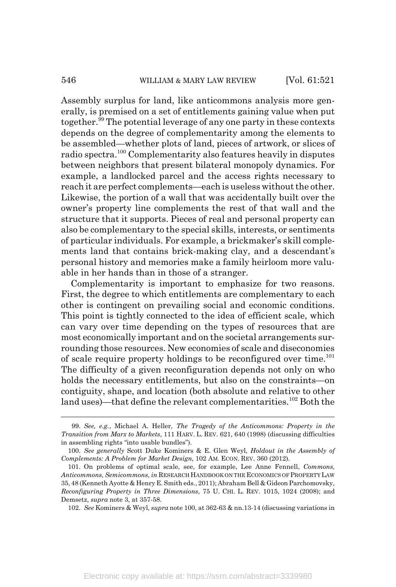Assembly surplus for land, like anticommons analysis more generally, is premised on a set of entitlements gaining value when put together.99 The potential leverage of any one party in these contexts depends on the degree of complementarity among the elements to be assembled—whether plots of land, pieces of artwork, or slices of radio spectra.100 Complementarity also features heavily in disputes between neighbors that present bilateral monopoly dynamics. For example, a landlocked parcel and the access rights necessary to reach it are perfect complements—each is useless without the other. Likewise, the portion of a wall that was accidentally built over the owner's property line complements the rest of that wall and the structure that it supports. Pieces of real and personal property can also be complementary to the special skills, interests, or sentiments of particular individuals. For example, a brickmaker's skill complements land that contains brick-making clay, and a descendant's personal history and memories make a family heirloom more valuable in her hands than in those of a stranger.

Complementarity is important to emphasize for two reasons. First, the degree to which entitlements are complementary to each other is contingent on prevailing social and economic conditions. This point is tightly connected to the idea of efficient scale, which can vary over time depending on the types of resources that are most economically important and on the societal arrangements surrounding those resources. New economies of scale and diseconomies of scale require property holdings to be reconfigured over time.<sup>101</sup> The difficulty of a given reconfiguration depends not only on who holds the necessary entitlements, but also on the constraints—on contiguity, shape, and location (both absolute and relative to other land uses)—that define the relevant complementarities.<sup>102</sup> Both the

<sup>99.</sup> *See, e.g.*, Michael A. Heller, *The Tragedy of the Anticommons: Property in the Transition from Marx to Markets*, 111 HARV. L. REV. 621, 640 (1998) (discussing difficulties in assembling rights "into usable bundles").

<sup>100.</sup> *See generally* Scott Duke Kominers & E. Glen Weyl, *Holdout in the Assembly of Complements: A Problem for Market Design*, 102 AM. ECON. REV. 360 (2012).

<sup>101.</sup> On problems of optimal scale, see, for example, Lee Anne Fennell, *Commons, Anticommons, Semicommons*, *in* RESEARCH HANDBOOK ON THE ECONOMICS OF PROPERTY LAW 35, 48 (Kenneth Ayotte & Henry E. Smith eds., 2011); Abraham Bell & Gideon Parchomovsky, *Reconfiguring Property in Three Dimensions*, 75 U. CHI. L. REV. 1015, 1024 (2008); and Demsetz, *supra* note 3, at 357-58.

<sup>102.</sup> *See* Kominers & Weyl, *supra* note 100, at 362-63 & nn.13-14 (discussing variations in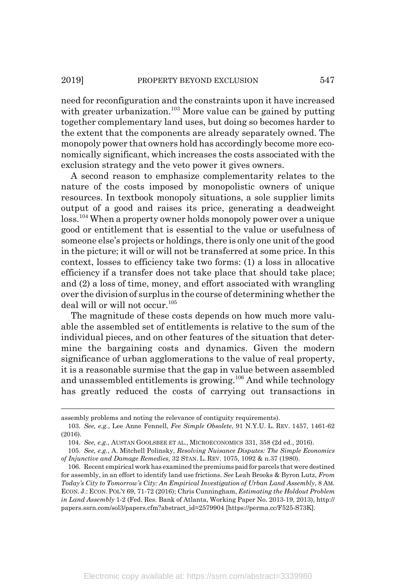need for reconfiguration and the constraints upon it have increased with greater urbanization.<sup>103</sup> More value can be gained by putting together complementary land uses, but doing so becomes harder to the extent that the components are already separately owned. The monopoly power that owners hold has accordingly become more economically significant, which increases the costs associated with the exclusion strategy and the veto power it gives owners.

A second reason to emphasize complementarity relates to the nature of the costs imposed by monopolistic owners of unique resources. In textbook monopoly situations, a sole supplier limits output of a good and raises its price, generating a deadweight loss.<sup>104</sup> When a property owner holds monopoly power over a unique good or entitlement that is essential to the value or usefulness of someone else's projects or holdings, there is only one unit of the good in the picture; it will or will not be transferred at some price. In this context, losses to efficiency take two forms: (1) a loss in allocative efficiency if a transfer does not take place that should take place; and (2) a loss of time, money, and effort associated with wrangling over the division of surplus in the course of determining whether the deal will or will not occur.<sup>105</sup>

The magnitude of these costs depends on how much more valuable the assembled set of entitlements is relative to the sum of the individual pieces, and on other features of the situation that determine the bargaining costs and dynamics. Given the modern significance of urban agglomerations to the value of real property, it is a reasonable surmise that the gap in value between assembled and unassembled entitlements is growing.106 And while technology has greatly reduced the costs of carrying out transactions in

assembly problems and noting the relevance of contiguity requirements).

<sup>103.</sup> *See, e.g.*, Lee Anne Fennell, *Fee Simple Obsolete*, 91 N.Y.U. L. REV. 1457, 1461-62 (2016).

<sup>104.</sup> *See, e.g.*, AUSTAN GOOLSBEE ET AL., MICROECONOMICS 331, 358 (2d ed., 2016).

<sup>105.</sup> *See, e.g.*, A. Mitchell Polinsky, *Resolving Nuisance Disputes: The Simple Economics of Injunctive and Damage Remedies*, 32 STAN. L. REV. 1075, 1092 & n.37 (1980).

<sup>106.</sup> Recent empirical work has examined the premiums paid for parcels that were destined for assembly, in an effort to identify land use frictions. *See* Leah Brooks & Byron Lutz, *From Today's City to Tomorrow's City: An Empirical Investigation of Urban Land Assembly*, 8 AM. ECON. J.: ECON. POL'Y 69, 71-72 (2016); Chris Cunningham, *Estimating the Holdout Problem in Land Assembly* 1-2 (Fed. Res. Bank of Atlanta, Working Paper No. 2013-19, 2013), http:// papers.ssrn.com/sol3/papers.cfm?abstract\_id=2579904 [https://perma.cc/F525-S73K].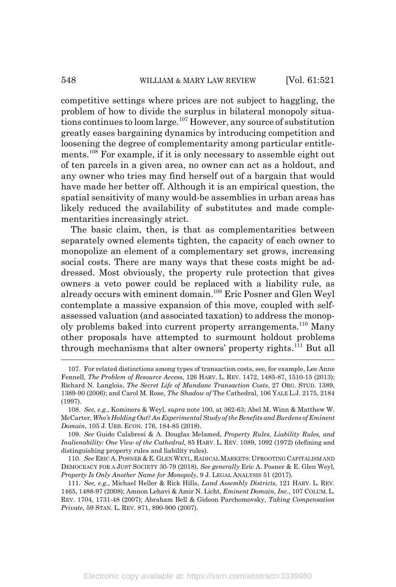competitive settings where prices are not subject to haggling, the problem of how to divide the surplus in bilateral monopoly situations continues to loom large.<sup>107</sup> However, any source of substitution greatly eases bargaining dynamics by introducing competition and loosening the degree of complementarity among particular entitlements.108 For example, if it is only necessary to assemble eight out of ten parcels in a given area, no owner can act as a holdout, and any owner who tries may find herself out of a bargain that would have made her better off. Although it is an empirical question, the spatial sensitivity of many would-be assemblies in urban areas has likely reduced the availability of substitutes and made complementarities increasingly strict.

The basic claim, then, is that as complementarities between separately owned elements tighten, the capacity of each owner to monopolize an element of a complementary set grows, increasing social costs. There are many ways that these costs might be addressed. Most obviously, the property rule protection that gives owners a veto power could be replaced with a liability rule, as already occurs with eminent domain.109 Eric Posner and Glen Weyl contemplate a massive expansion of this move, coupled with selfassessed valuation (and associated taxation) to address the monopoly problems baked into current property arrangements.<sup>110</sup> Many other proposals have attempted to surmount holdout problems through mechanisms that alter owners' property rights.<sup>111</sup> But all

<sup>107.</sup> For related distinctions among types of transaction costs, see, for example, Lee Anne Fennell, *The Problem of Resource Access*, 126 HARV. L. REV. 1472, 1485-87, 1510-15 (2013); Richard N. Langlois, *The Secret Life of Mundane Transaction Costs*, 27 ORG. STUD. 1389, 1389-90 (2006); and Carol M. Rose, *The Shadow of* The Cathedral, 106 YALE L.J. 2175, 2184 (1997).

<sup>108.</sup> *See, e.g.*, Kominers & Weyl, *supra* note 100, at 362-63; Abel M. Winn & Matthew W. McCarter, *Who's Holding Out? An Experimental Study of the Benefits and Burdens of Eminent Domain*, 105 J. URB. ECON. 176, 184-85 (2018).

<sup>109.</sup> *See* Guido Calabresi & A. Douglas Melamed, *Property Rules, Liability Rules, and Inalienability: One View of the Cathedral,* 85 HARV. L. REV. 1089, 1092 (1972) (defining and distinguishing property rules and liability rules).

<sup>110.</sup> *See* ERIC A.POSNER & E. GLEN WEYL, RADICAL MARKETS: UPROOTING CAPITALISM AND DEMOCRACY FOR A JUST SOCIETY 30-79 (2018). *See generally* Eric A. Posner & E. Glen Weyl, *Property Is Only Another Name for Monopoly*, 9 J. LEGAL ANALYSIS 51 (2017).

<sup>111.</sup> *See, e.g.*, Michael Heller & Rick Hills, *Land Assembly Districts,* 121 HARV. L. REV. 1465, 1488-97 (2008); Amnon Lehavi & Amir N. Licht, *Eminent Domain, Inc.*, 107 COLUM.L. REV. 1704, 1731-48 (2007); Abraham Bell & Gideon Parchomovsky, *Taking Compensation Private*, 59 STAN. L. REV. 871, 890-900 (2007).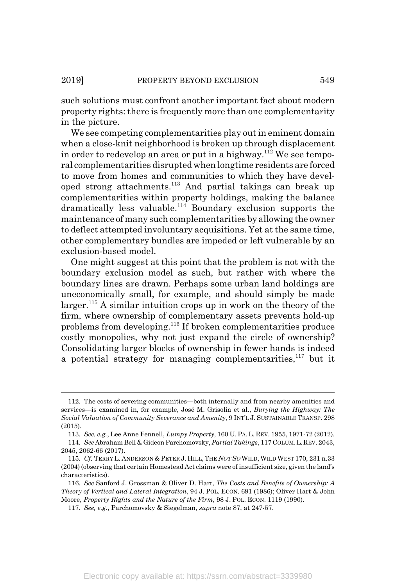such solutions must confront another important fact about modern property rights: there is frequently more than one complementarity in the picture.

We see competing complementarities play out in eminent domain when a close-knit neighborhood is broken up through displacement in order to redevelop an area or put in a highway.<sup>112</sup> We see temporal complementarities disrupted when longtime residents are forced to move from homes and communities to which they have developed strong attachments.113 And partial takings can break up complementarities within property holdings, making the balance dramatically less valuable.114 Boundary exclusion supports the maintenance of many such complementarities by allowing the owner to deflect attempted involuntary acquisitions. Yet at the same time, other complementary bundles are impeded or left vulnerable by an exclusion-based model.

One might suggest at this point that the problem is not with the boundary exclusion model as such, but rather with where the boundary lines are drawn. Perhaps some urban land holdings are uneconomically small, for example, and should simply be made  $larger.<sup>115</sup>$  A similar intuition crops up in work on the theory of the firm, where ownership of complementary assets prevents hold-up problems from developing.116 If broken complementarities produce costly monopolies, why not just expand the circle of ownership? Consolidating larger blocks of ownership in fewer hands is indeed a potential strategy for managing complementarities,  $117$  but it

<sup>112.</sup> The costs of severing communities—both internally and from nearby amenities and services—is examined in, for example, José M. Grisolía et al., *Burying the Highway: The Social Valuation of Community Severance and Amenity*, 9 INT'L J. SUSTAINABLE TRANSP. 298 (2015).

<sup>113.</sup> *See, e.g.*, Lee Anne Fennell, *Lumpy Property*, 160 U.PA.L. REV. 1955, 1971-72 (2012). 114. *See* Abraham Bell & Gideon Parchomovsky, *Partial Takings*, 117 COLUM.L.REV. 2043, 2045, 2062-66 (2017).

<sup>115.</sup> *Cf.* TERRY L. ANDERSON & PETER J. HILL,THE *NOT SO*WILD, WILD WEST 170, 231 n.33 (2004) (observing that certain Homestead Act claims were of insufficient size, given the land's characteristics).

<sup>116.</sup> *See* Sanford J. Grossman & Oliver D. Hart, *The Costs and Benefits of Ownership: A Theory of Vertical and Lateral Integration*, 94 J. POL. ECON. 691 (1986); Oliver Hart & John Moore, *Property Rights and the Nature of the Firm*, 98 J. POL. ECON. 1119 (1990).

<sup>117.</sup> *See, e.g.*, Parchomovsky & Siegelman, *supra* note 87, at 247-57.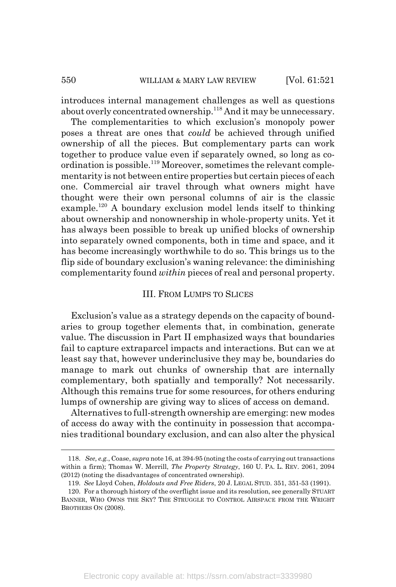introduces internal management challenges as well as questions about overly concentrated ownership.<sup>118</sup> And it may be unnecessary.

The complementarities to which exclusion's monopoly power poses a threat are ones that *could* be achieved through unified ownership of all the pieces. But complementary parts can work together to produce value even if separately owned, so long as coordination is possible.<sup>119</sup> Moreover, sometimes the relevant complementarity is not between entire properties but certain pieces of each one. Commercial air travel through what owners might have thought were their own personal columns of air is the classic example.<sup>120</sup> A boundary exclusion model lends itself to thinking about ownership and nonownership in whole-property units. Yet it has always been possible to break up unified blocks of ownership into separately owned components, both in time and space, and it has become increasingly worthwhile to do so. This brings us to the flip side of boundary exclusion's waning relevance: the diminishing complementarity found *within* pieces of real and personal property.

#### III. FROM LUMPS TO SLICES

Exclusion's value as a strategy depends on the capacity of boundaries to group together elements that, in combination, generate value. The discussion in Part II emphasized ways that boundaries fail to capture extraparcel impacts and interactions. But can we at least say that, however underinclusive they may be, boundaries do manage to mark out chunks of ownership that are internally complementary, both spatially and temporally? Not necessarily. Although this remains true for some resources, for others enduring lumps of ownership are giving way to slices of access on demand.

Alternatives to full-strength ownership are emerging: new modes of access do away with the continuity in possession that accompanies traditional boundary exclusion, and can also alter the physical

<sup>118.</sup> *See, e.g.*, Coase, *supra* note 16, at 394-95 (noting the costs of carrying out transactions within a firm); Thomas W. Merrill, *The Property Strategy*, 160 U. PA. L. REV. 2061, 2094 (2012) (noting the disadvantages of concentrated ownership).

<sup>119.</sup> *See* Lloyd Cohen, *Holdouts and Free Riders*, 20 J. LEGAL STUD. 351, 351-53 (1991).

<sup>120.</sup> For a thorough history of the overflight issue and its resolution, see generally STUART BANNER, WHO OWNS THE SKY? THE STRUGGLE TO CONTROL AIRSPACE FROM THE WRIGHT BROTHERS ON (2008).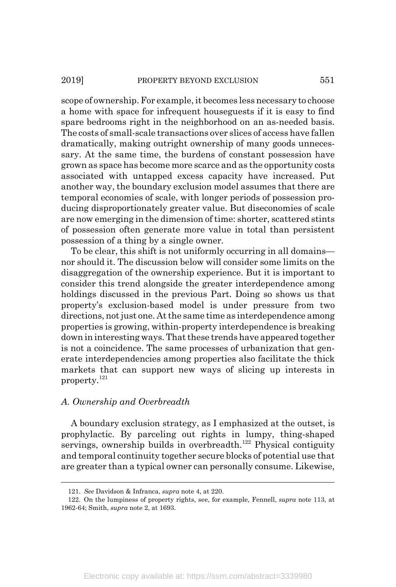#### 2019] PROPERTY BEYOND EXCLUSION 551

scope of ownership. For example, it becomes less necessary to choose a home with space for infrequent houseguests if it is easy to find spare bedrooms right in the neighborhood on an as-needed basis. The costs of small-scale transactions over slices of access have fallen dramatically, making outright ownership of many goods unnecessary. At the same time, the burdens of constant possession have grown as space has become more scarce and as the opportunity costs associated with untapped excess capacity have increased. Put another way, the boundary exclusion model assumes that there are temporal economies of scale, with longer periods of possession producing disproportionately greater value. But diseconomies of scale are now emerging in the dimension of time: shorter, scattered stints of possession often generate more value in total than persistent possession of a thing by a single owner.

To be clear, this shift is not uniformly occurring in all domains nor should it. The discussion below will consider some limits on the disaggregation of the ownership experience. But it is important to consider this trend alongside the greater interdependence among holdings discussed in the previous Part. Doing so shows us that property's exclusion-based model is under pressure from two directions, not just one. At the same time as interdependence among properties is growing, within-property interdependence is breaking down in interesting ways. That these trends have appeared together is not a coincidence. The same processes of urbanization that generate interdependencies among properties also facilitate the thick markets that can support new ways of slicing up interests in property.<sup>121</sup>

### *A. Ownership and Overbreadth*

A boundary exclusion strategy, as I emphasized at the outset, is prophylactic. By parceling out rights in lumpy, thing-shaped servings, ownership builds in overbreadth.<sup>122</sup> Physical contiguity and temporal continuity together secure blocks of potential use that are greater than a typical owner can personally consume. Likewise,

<sup>121.</sup> *See* Davidson & Infranca, *supra* note 4, at 220.

<sup>122.</sup> On the lumpiness of property rights, see, for example, Fennell, *supra* note 113, at 1962-64; Smith, *supra* note 2, at 1693.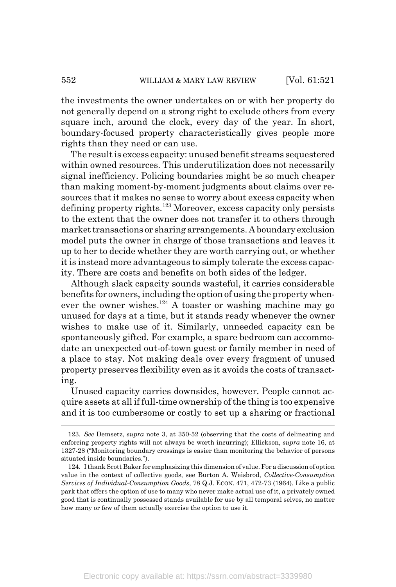the investments the owner undertakes on or with her property do not generally depend on a strong right to exclude others from every square inch, around the clock, every day of the year. In short, boundary-focused property characteristically gives people more rights than they need or can use.

The result is excess capacity: unused benefit streams sequestered within owned resources. This underutilization does not necessarily signal inefficiency. Policing boundaries might be so much cheaper than making moment-by-moment judgments about claims over resources that it makes no sense to worry about excess capacity when defining property rights. $123$  Moreover, excess capacity only persists to the extent that the owner does not transfer it to others through market transactions or sharing arrangements. A boundary exclusion model puts the owner in charge of those transactions and leaves it up to her to decide whether they are worth carrying out, or whether it is instead more advantageous to simply tolerate the excess capacity. There are costs and benefits on both sides of the ledger.

Although slack capacity sounds wasteful, it carries considerable benefits for owners, including the option of using the property whenever the owner wishes.<sup>124</sup> A toaster or washing machine may go unused for days at a time, but it stands ready whenever the owner wishes to make use of it. Similarly, unneeded capacity can be spontaneously gifted. For example, a spare bedroom can accommodate an unexpected out-of-town guest or family member in need of a place to stay. Not making deals over every fragment of unused property preserves flexibility even as it avoids the costs of transacting.

Unused capacity carries downsides, however. People cannot acquire assets at all if full-time ownership of the thing is too expensive and it is too cumbersome or costly to set up a sharing or fractional

<sup>123.</sup> *See* Demsetz, *supra* note 3, at 350-52 (observing that the costs of delineating and enforcing property rights will not always be worth incurring); Ellickson, *supra* note 16, at 1327-28 ("Monitoring boundary crossings is easier than monitoring the behavior of persons situated inside boundaries.").

<sup>124.</sup> I thank Scott Baker for emphasizing this dimension of value. For a discussion of option value in the context of collective goods, see Burton A. Weisbrod, *Collective-Consumption Services of Individual-Consumption Goods*, 78 Q.J. ECON. 471, 472-73 (1964). Like a public park that offers the option of use to many who never make actual use of it, a privately owned good that is continually possessed stands available for use by all temporal selves, no matter how many or few of them actually exercise the option to use it.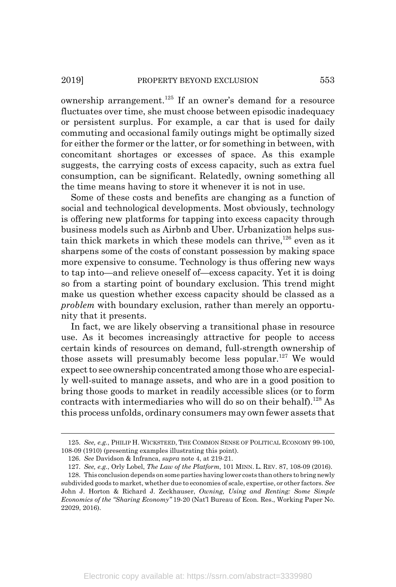ownership arrangement.<sup>125</sup> If an owner's demand for a resource fluctuates over time, she must choose between episodic inadequacy or persistent surplus. For example, a car that is used for daily commuting and occasional family outings might be optimally sized for either the former or the latter, or for something in between, with concomitant shortages or excesses of space. As this example suggests, the carrying costs of excess capacity, such as extra fuel consumption, can be significant. Relatedly, owning something all the time means having to store it whenever it is not in use.

Some of these costs and benefits are changing as a function of social and technological developments. Most obviously, technology is offering new platforms for tapping into excess capacity through business models such as Airbnb and Uber. Urbanization helps sustain thick markets in which these models can thrive,<sup>126</sup> even as it sharpens some of the costs of constant possession by making space more expensive to consume. Technology is thus offering new ways to tap into—and relieve oneself of—excess capacity. Yet it is doing so from a starting point of boundary exclusion. This trend might make us question whether excess capacity should be classed as a *problem* with boundary exclusion, rather than merely an opportunity that it presents.

In fact, we are likely observing a transitional phase in resource use. As it becomes increasingly attractive for people to access certain kinds of resources on demand, full-strength ownership of those assets will presumably become less popular.<sup>127</sup> We would expect to see ownership concentrated among those who are especially well-suited to manage assets, and who are in a good position to bring those goods to market in readily accessible slices (or to form contracts with intermediaries who will do so on their behalf).<sup>128</sup> As this process unfolds, ordinary consumers may own fewer assets that

<sup>125.</sup> *See, e.g.*, PHILIP H. WICKSTEED, THE COMMON SENSE OF POLITICAL ECONOMY 99-100, 108-09 (1910) (presenting examples illustrating this point).

<sup>126.</sup> *See* Davidson & Infranca, *supra* note 4, at 219-21.

<sup>127.</sup> *See, e.g.*, Orly Lobel, *The Law of the Platform*, 101 MINN. L. REV. 87, 108-09 (2016).

<sup>128.</sup> This conclusion depends on some parties having lower costs than others to bring newly subdivided goods to market, whether due to economies of scale, expertise, or other factors. *See* John J. Horton & Richard J. Zeckhauser, *Owning, Using and Renting: Some Simple Economics of the "Sharing Economy"* 19-20 (Nat'l Bureau of Econ. Res., Working Paper No. 22029, 2016).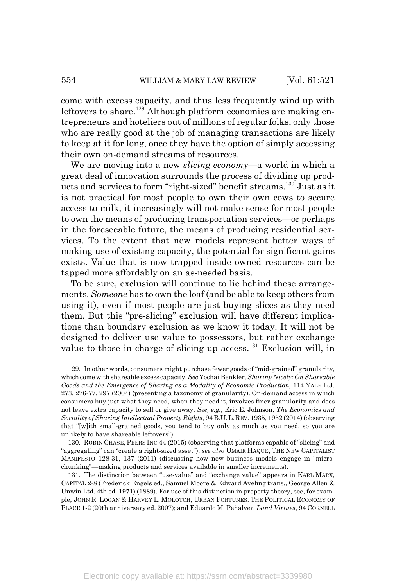come with excess capacity, and thus less frequently wind up with leftovers to share.<sup>129</sup> Although platform economies are making entrepreneurs and hoteliers out of millions of regular folks, only those who are really good at the job of managing transactions are likely to keep at it for long, once they have the option of simply accessing their own on-demand streams of resources.

We are moving into a new *slicing economy*—a world in which a great deal of innovation surrounds the process of dividing up products and services to form "right-sized" benefit streams.130 Just as it is not practical for most people to own their own cows to secure access to milk, it increasingly will not make sense for most people to own the means of producing transportation services—or perhaps in the foreseeable future, the means of producing residential services. To the extent that new models represent better ways of making use of existing capacity, the potential for significant gains exists. Value that is now trapped inside owned resources can be tapped more affordably on an as-needed basis.

To be sure, exclusion will continue to lie behind these arrangements. *Someone* has to own the loaf (and be able to keep others from using it), even if most people are just buying slices as they need them. But this "pre-slicing" exclusion will have different implications than boundary exclusion as we know it today. It will not be designed to deliver use value to possessors, but rather exchange value to those in charge of slicing up access.131 Exclusion will, in

<sup>129.</sup> In other words, consumers might purchase fewer goods of "mid-grained" granularity, which come with shareable excess capacity. *See* Yochai Benkler*, Sharing Nicely: On Shareable Goods and the Emergence of Sharing as a Modality of Economic Production,* 114 YALE L.J. 273, 276-77, 297 (2004) (presenting a taxonomy of granularity). On-demand access in which consumers buy just what they need, when they need it, involves finer granularity and does not leave extra capacity to sell or give away. *See, e.g.*, Eric E. Johnson, *The Economics and Sociality of Sharing Intellectual Property Rights*, 94 B.U.L.REV. 1935, 1952 (2014) (observing that "[w]ith small-grained goods, you tend to buy only as much as you need, so you are unlikely to have shareable leftovers").

<sup>130.</sup> ROBIN CHASE, PEERS INC 44 (2015) (observing that platforms capable of "slicing" and "aggregating" can "create a right-sized asset"); *see also* UMAIR HAQUE, THE NEW CAPITALIST MANIFESTO 128-31, 137 (2011) (discussing how new business models engage in "microchunking"—making products and services available in smaller increments).

<sup>131.</sup> The distinction between "use-value" and "exchange value" appears in KARL MARX, CAPITAL 2-8 (Frederick Engels ed., Samuel Moore & Edward Aveling trans., George Allen & Unwin Ltd. 4th ed. 1971) (1889). For use of this distinction in property theory, see, for example, JOHN R. LOGAN & HARVEY L. MOLOTCH, URBAN FORTUNES: THE POLITICAL ECONOMY OF PLACE 1-2 (20th anniversary ed. 2007); and Eduardo M. Peñalver, *Land Virtues*, 94 CORNELL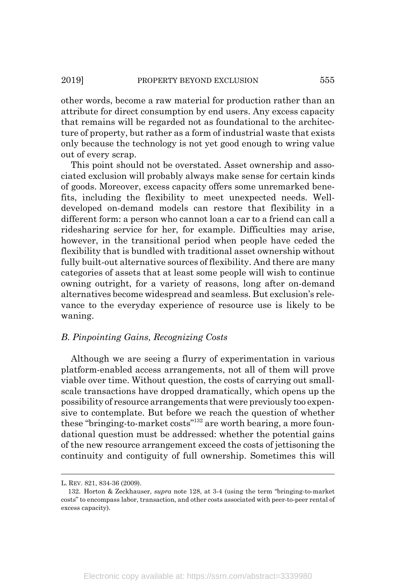other words, become a raw material for production rather than an attribute for direct consumption by end users. Any excess capacity that remains will be regarded not as foundational to the architecture of property, but rather as a form of industrial waste that exists only because the technology is not yet good enough to wring value out of every scrap.

This point should not be overstated. Asset ownership and associated exclusion will probably always make sense for certain kinds of goods. Moreover, excess capacity offers some unremarked benefits, including the flexibility to meet unexpected needs. Welldeveloped on-demand models can restore that flexibility in a different form: a person who cannot loan a car to a friend can call a ridesharing service for her, for example. Difficulties may arise, however, in the transitional period when people have ceded the flexibility that is bundled with traditional asset ownership without fully built-out alternative sources of flexibility. And there are many categories of assets that at least some people will wish to continue owning outright, for a variety of reasons, long after on-demand alternatives become widespread and seamless. But exclusion's relevance to the everyday experience of resource use is likely to be waning.

### *B. Pinpointing Gains, Recognizing Costs*

Although we are seeing a flurry of experimentation in various platform-enabled access arrangements, not all of them will prove viable over time. Without question, the costs of carrying out smallscale transactions have dropped dramatically, which opens up the possibility of resource arrangements that were previously too expensive to contemplate. But before we reach the question of whether these "bringing-to-market costs"<sup>132</sup> are worth bearing, a more foundational question must be addressed: whether the potential gains of the new resource arrangement exceed the costs of jettisoning the continuity and contiguity of full ownership. Sometimes this will

L. REV. 821, 834-36 (2009).

<sup>132.</sup> Horton & Zeckhauser, *supra* note 128, at 3-4 (using the term "bringing-to-market costs" to encompass labor, transaction, and other costs associated with peer-to-peer rental of excess capacity).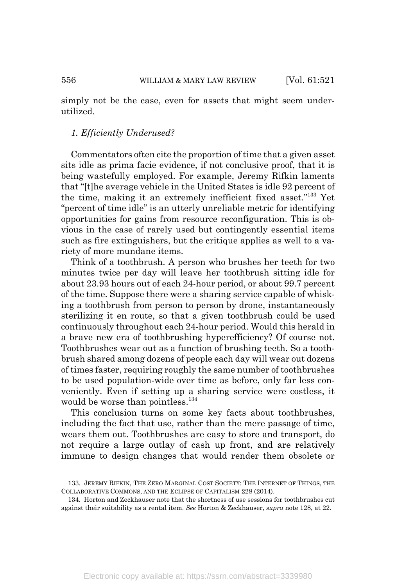simply not be the case, even for assets that might seem underutilized.

#### *1. Efficiently Underused?*

Commentators often cite the proportion of time that a given asset sits idle as prima facie evidence, if not conclusive proof, that it is being wastefully employed. For example, Jeremy Rifkin laments that "[t]he average vehicle in the United States is idle 92 percent of the time, making it an extremely inefficient fixed asset."133 Yet "percent of time idle" is an utterly unreliable metric for identifying opportunities for gains from resource reconfiguration. This is obvious in the case of rarely used but contingently essential items such as fire extinguishers, but the critique applies as well to a variety of more mundane items.

Think of a toothbrush. A person who brushes her teeth for two minutes twice per day will leave her toothbrush sitting idle for about 23.93 hours out of each 24-hour period, or about 99.7 percent of the time. Suppose there were a sharing service capable of whisking a toothbrush from person to person by drone, instantaneously sterilizing it en route, so that a given toothbrush could be used continuously throughout each 24-hour period. Would this herald in a brave new era of toothbrushing hyperefficiency? Of course not. Toothbrushes wear out as a function of brushing teeth. So a toothbrush shared among dozens of people each day will wear out dozens of times faster, requiring roughly the same number of toothbrushes to be used population-wide over time as before, only far less conveniently. Even if setting up a sharing service were costless, it would be worse than pointless.<sup>134</sup>

This conclusion turns on some key facts about toothbrushes, including the fact that use, rather than the mere passage of time, wears them out. Toothbrushes are easy to store and transport, do not require a large outlay of cash up front, and are relatively immune to design changes that would render them obsolete or

<sup>133.</sup> JEREMY RIFKIN, THE ZERO MARGINAL COST SOCIETY: THE INTERNET OF THINGS, THE COLLABORATIVE COMMONS, AND THE ECLIPSE OF CAPITALISM 228 (2014).

<sup>134.</sup> Horton and Zeckhauser note that the shortness of use sessions for toothbrushes cut against their suitability as a rental item. *See* Horton & Zeckhauser, *supra* note 128, at 22.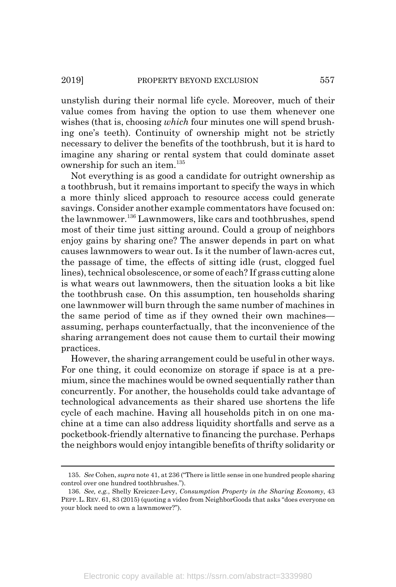unstylish during their normal life cycle. Moreover, much of their value comes from having the option to use them whenever one wishes (that is, choosing *which* four minutes one will spend brushing one's teeth). Continuity of ownership might not be strictly necessary to deliver the benefits of the toothbrush, but it is hard to imagine any sharing or rental system that could dominate asset ownership for such an item. $135$ 

Not everything is as good a candidate for outright ownership as a toothbrush, but it remains important to specify the ways in which a more thinly sliced approach to resource access could generate savings. Consider another example commentators have focused on: the lawnmower.136 Lawnmowers, like cars and toothbrushes, spend most of their time just sitting around. Could a group of neighbors enjoy gains by sharing one? The answer depends in part on what causes lawnmowers to wear out. Is it the number of lawn-acres cut, the passage of time, the effects of sitting idle (rust, clogged fuel lines), technical obsolescence, or some of each? If grass cutting alone is what wears out lawnmowers, then the situation looks a bit like the toothbrush case. On this assumption, ten households sharing one lawnmower will burn through the same number of machines in the same period of time as if they owned their own machines assuming, perhaps counterfactually, that the inconvenience of the sharing arrangement does not cause them to curtail their mowing practices.

However, the sharing arrangement could be useful in other ways. For one thing, it could economize on storage if space is at a premium, since the machines would be owned sequentially rather than concurrently. For another, the households could take advantage of technological advancements as their shared use shortens the life cycle of each machine. Having all households pitch in on one machine at a time can also address liquidity shortfalls and serve as a pocketbook-friendly alternative to financing the purchase. Perhaps the neighbors would enjoy intangible benefits of thrifty solidarity or

<sup>135.</sup> *See* Cohen, *supra* note 41, at 236 ("There is little sense in one hundred people sharing control over one hundred toothbrushes.").

<sup>136.</sup> *See, e.g.*, Shelly Kreiczer-Levy, *Consumption Property in the Sharing Economy*, 43 PEPP.L. REV. 61, 83 (2015) (quoting a video from NeighborGoods that asks "does everyone on your block need to own a lawnmower?").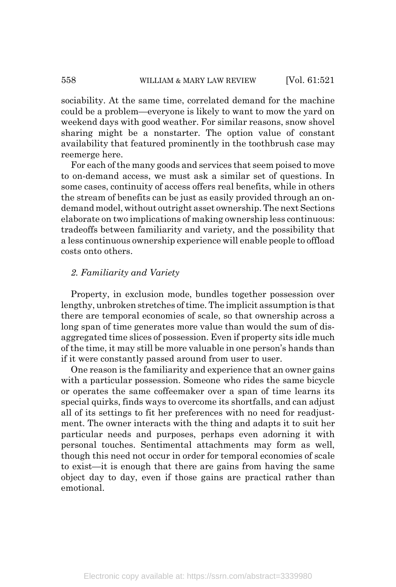sociability. At the same time, correlated demand for the machine could be a problem—everyone is likely to want to mow the yard on weekend days with good weather. For similar reasons, snow shovel sharing might be a nonstarter. The option value of constant availability that featured prominently in the toothbrush case may reemerge here.

For each of the many goods and services that seem poised to move to on-demand access, we must ask a similar set of questions. In some cases, continuity of access offers real benefits, while in others the stream of benefits can be just as easily provided through an ondemand model, without outright asset ownership. The next Sections elaborate on two implications of making ownership less continuous: tradeoffs between familiarity and variety, and the possibility that a less continuous ownership experience will enable people to offload costs onto others.

## *2. Familiarity and Variety*

Property, in exclusion mode, bundles together possession over lengthy, unbroken stretches of time. The implicit assumption is that there are temporal economies of scale, so that ownership across a long span of time generates more value than would the sum of disaggregated time slices of possession. Even if property sits idle much of the time, it may still be more valuable in one person's hands than if it were constantly passed around from user to user.

One reason is the familiarity and experience that an owner gains with a particular possession. Someone who rides the same bicycle or operates the same coffeemaker over a span of time learns its special quirks, finds ways to overcome its shortfalls, and can adjust all of its settings to fit her preferences with no need for readjustment. The owner interacts with the thing and adapts it to suit her particular needs and purposes, perhaps even adorning it with personal touches. Sentimental attachments may form as well, though this need not occur in order for temporal economies of scale to exist—it is enough that there are gains from having the same object day to day, even if those gains are practical rather than emotional.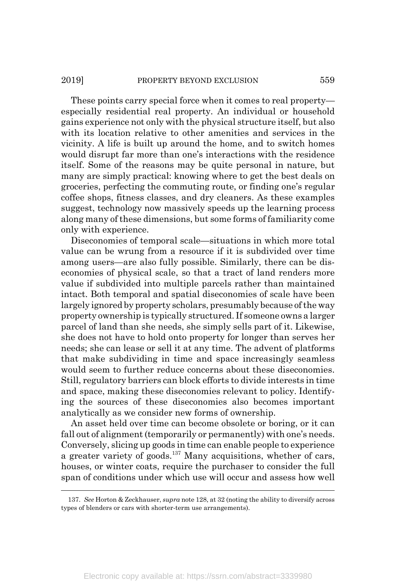#### 2019] PROPERTY BEYOND EXCLUSION 559

These points carry special force when it comes to real property especially residential real property. An individual or household gains experience not only with the physical structure itself, but also with its location relative to other amenities and services in the vicinity. A life is built up around the home, and to switch homes would disrupt far more than one's interactions with the residence itself. Some of the reasons may be quite personal in nature, but many are simply practical: knowing where to get the best deals on groceries, perfecting the commuting route, or finding one's regular coffee shops, fitness classes, and dry cleaners. As these examples suggest, technology now massively speeds up the learning process along many of these dimensions, but some forms of familiarity come only with experience.

Diseconomies of temporal scale—situations in which more total value can be wrung from a resource if it is subdivided over time among users—are also fully possible. Similarly, there can be diseconomies of physical scale, so that a tract of land renders more value if subdivided into multiple parcels rather than maintained intact. Both temporal and spatial diseconomies of scale have been largely ignored by property scholars, presumably because of the way property ownership is typically structured. If someone owns a larger parcel of land than she needs, she simply sells part of it. Likewise, she does not have to hold onto property for longer than serves her needs; she can lease or sell it at any time. The advent of platforms that make subdividing in time and space increasingly seamless would seem to further reduce concerns about these diseconomies. Still, regulatory barriers can block efforts to divide interests in time and space, making these diseconomies relevant to policy. Identifying the sources of these diseconomies also becomes important analytically as we consider new forms of ownership.

An asset held over time can become obsolete or boring, or it can fall out of alignment (temporarily or permanently) with one's needs. Conversely, slicing up goods in time can enable people to experience a greater variety of goods.137 Many acquisitions, whether of cars, houses, or winter coats, require the purchaser to consider the full span of conditions under which use will occur and assess how well

<sup>137.</sup> *See* Horton & Zeckhauser, *supra* note 128, at 32 (noting the ability to diversify across types of blenders or cars with shorter-term use arrangements).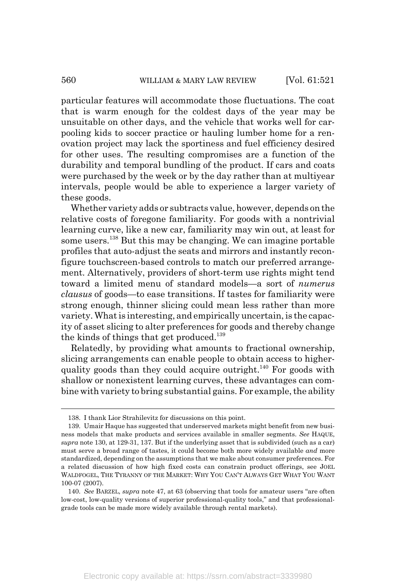particular features will accommodate those fluctuations. The coat that is warm enough for the coldest days of the year may be unsuitable on other days, and the vehicle that works well for carpooling kids to soccer practice or hauling lumber home for a renovation project may lack the sportiness and fuel efficiency desired for other uses. The resulting compromises are a function of the durability and temporal bundling of the product. If cars and coats were purchased by the week or by the day rather than at multiyear intervals, people would be able to experience a larger variety of these goods.

Whether variety adds or subtracts value, however, depends on the relative costs of foregone familiarity. For goods with a nontrivial learning curve, like a new car, familiarity may win out, at least for some users.<sup>138</sup> But this may be changing. We can imagine portable profiles that auto-adjust the seats and mirrors and instantly reconfigure touchscreen-based controls to match our preferred arrangement. Alternatively, providers of short-term use rights might tend toward a limited menu of standard models—a sort of *numerus clausus* of goods—to ease transitions. If tastes for familiarity were strong enough, thinner slicing could mean less rather than more variety. What is interesting, and empirically uncertain, is the capacity of asset slicing to alter preferences for goods and thereby change the kinds of things that get produced.<sup>139</sup>

Relatedly, by providing what amounts to fractional ownership, slicing arrangements can enable people to obtain access to higherquality goods than they could acquire outright.<sup>140</sup> For goods with shallow or nonexistent learning curves, these advantages can combine with variety to bring substantial gains. For example, the ability

<sup>138.</sup> I thank Lior Strahilevitz for discussions on this point.

<sup>139.</sup> Umair Haque has suggested that underserved markets might benefit from new business models that make products and services available in smaller segments. *See* HAQUE, *supra* note 130, at 129-31, 137. But if the underlying asset that is subdivided (such as a car) must serve a broad range of tastes, it could become both more widely available *and* more standardized, depending on the assumptions that we make about consumer preferences. For a related discussion of how high fixed costs can constrain product offerings, see JOEL WALDFOGEL, THE TYRANNY OF THE MARKET: WHY YOU CAN'T ALWAYS GET WHAT YOU WANT 100-07 (2007).

<sup>140.</sup> *See* BARZEL, *supra* note 47, at 63 (observing that tools for amateur users "are often low-cost, low-quality versions of superior professional-quality tools," and that professionalgrade tools can be made more widely available through rental markets).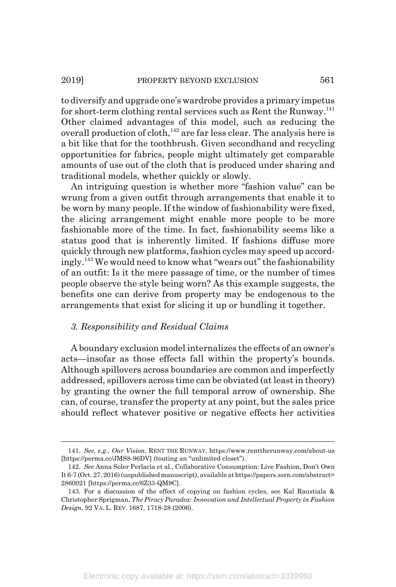to diversify and upgrade one's wardrobe provides a primary impetus for short-term clothing rental services such as Rent the Runway.<sup>141</sup> Other claimed advantages of this model, such as reducing the overall production of cloth,  $142$  are far less clear. The analysis here is a bit like that for the toothbrush. Given secondhand and recycling opportunities for fabrics, people might ultimately get comparable amounts of use out of the cloth that is produced under sharing and traditional models, whether quickly or slowly.

An intriguing question is whether more "fashion value" can be wrung from a given outfit through arrangements that enable it to be worn by many people. If the window of fashionability were fixed, the slicing arrangement might enable more people to be more fashionable more of the time. In fact, fashionability seems like a status good that is inherently limited. If fashions diffuse more quickly through new platforms, fashion cycles may speed up accordingly.143 We would need to know what "wears out" the fashionability of an outfit: Is it the mere passage of time, or the number of times people observe the style being worn? As this example suggests, the benefits one can derive from property may be endogenous to the arrangements that exist for slicing it up or bundling it together.

## *3. Responsibility and Residual Claims*

A boundary exclusion model internalizes the effects of an owner's acts—insofar as those effects fall within the property's bounds. Although spillovers across boundaries are common and imperfectly addressed, spillovers across time can be obviated (at least in theory) by granting the owner the full temporal arrow of ownership. She can, of course, transfer the property at any point, but the sales price should reflect whatever positive or negative effects her activities

<sup>141.</sup> *See, e.g., Our Vision*, RENT THE RUNWAY, https://www.renttherunway.com/about-us [https://perma.cc/JMS8-96DV] (touting an "unlimited closet").

<sup>142.</sup> *See* Anna Soler Perlacia et al., Collaborative Consumption: Live Fashion, Don't Own It 6-7 (Oct. 27, 2016) (unpublished manuscript), available at https://papers.ssrn.com/abstract= 2860021 [https://perma.cc/6Z33-QM9C].

<sup>143.</sup> For a discussion of the effect of copying on fashion cycles, see Kal Raustiala & Christopher Sprigman, *The Piracy Paradox: Innovation and Intellectual Property in Fashion Design*, 92 VA. L. REV. 1687, 1718-28 (2006).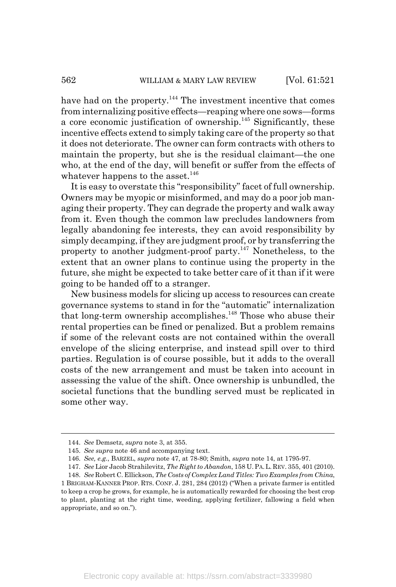have had on the property.<sup>144</sup> The investment incentive that comes from internalizing positive effects—reaping where one sows—forms a core economic justification of ownership.145 Significantly, these incentive effects extend to simply taking care of the property so that it does not deteriorate. The owner can form contracts with others to maintain the property, but she is the residual claimant—the one who, at the end of the day, will benefit or suffer from the effects of whatever happens to the asset.<sup>146</sup>

It is easy to overstate this "responsibility" facet of full ownership. Owners may be myopic or misinformed, and may do a poor job managing their property. They can degrade the property and walk away from it. Even though the common law precludes landowners from legally abandoning fee interests, they can avoid responsibility by simply decamping, if they are judgment proof, or by transferring the property to another judgment-proof party.147 Nonetheless, to the extent that an owner plans to continue using the property in the future, she might be expected to take better care of it than if it were going to be handed off to a stranger.

New business models for slicing up access to resources can create governance systems to stand in for the "automatic" internalization that long-term ownership accomplishes.<sup>148</sup> Those who abuse their rental properties can be fined or penalized. But a problem remains if some of the relevant costs are not contained within the overall envelope of the slicing enterprise, and instead spill over to third parties. Regulation is of course possible, but it adds to the overall costs of the new arrangement and must be taken into account in assessing the value of the shift. Once ownership is unbundled, the societal functions that the bundling served must be replicated in some other way.

<sup>144.</sup> *See* Demsetz, *supra* note 3, at 355.

<sup>145.</sup> *See supra* note 46 and accompanying text.

<sup>146.</sup> *See, e.g.*, BARZEL, *supra* note 47, at 78-80; Smith, *supra* note 14, at 1795-97.

<sup>147.</sup> *See* Lior Jacob Strahilevitz, *The Right to Abandon*, 158 U.PA.L.REV. 355, 401 (2010).

<sup>148.</sup> *See* Robert C. Ellickson, *The Costs of Complex Land Titles: Two Examples from China*, 1 BRIGHAM-KANNER PROP. RTS. CONF. J. 281, 284 (2012) ("When a private farmer is entitled to keep a crop he grows, for example, he is automatically rewarded for choosing the best crop to plant, planting at the right time, weeding, applying fertilizer, fallowing a field when

appropriate, and so on.").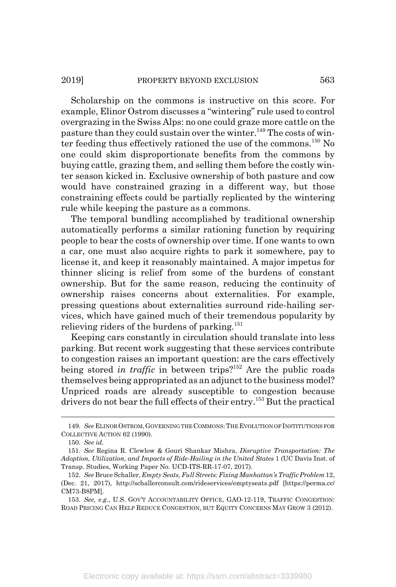Scholarship on the commons is instructive on this score. For example, Elinor Ostrom discusses a "wintering" rule used to control overgrazing in the Swiss Alps: no one could graze more cattle on the pasture than they could sustain over the winter.<sup>149</sup> The costs of winter feeding thus effectively rationed the use of the commons.150 No one could skim disproportionate benefits from the commons by buying cattle, grazing them, and selling them before the costly winter season kicked in. Exclusive ownership of both pasture and cow would have constrained grazing in a different way, but those constraining effects could be partially replicated by the wintering rule while keeping the pasture as a commons.

The temporal bundling accomplished by traditional ownership automatically performs a similar rationing function by requiring people to bear the costs of ownership over time. If one wants to own a car, one must also acquire rights to park it somewhere, pay to license it, and keep it reasonably maintained. A major impetus for thinner slicing is relief from some of the burdens of constant ownership. But for the same reason, reducing the continuity of ownership raises concerns about externalities. For example, pressing questions about externalities surround ride-hailing services, which have gained much of their tremendous popularity by relieving riders of the burdens of parking.<sup>151</sup>

Keeping cars constantly in circulation should translate into less parking. But recent work suggesting that these services contribute to congestion raises an important question: are the cars effectively being stored *in traffic* in between trips?<sup>152</sup> Are the public roads themselves being appropriated as an adjunct to the business model? Unpriced roads are already susceptible to congestion because drivers do not bear the full effects of their entry.153 But the practical

<sup>149.</sup> *See* ELINOR OSTROM,GOVERNING THE COMMONS:THE EVOLUTION OF INSTITUTIONS FOR COLLECTIVE ACTION 62 (1990).

<sup>150.</sup> *See id.*

<sup>151.</sup> *See* Regina R. Clewlow & Gouri Shankar Mishra, *Disruptive Transportation: The Adoption, Utilization, and Impacts of Ride-Hailing in the United States* 1 (UC Davis Inst. of Transp. Studies, Working Paper No. UCD-ITS-RR-17-07, 2017).

<sup>152.</sup> *See* Bruce Schaller, *Empty Seats, Full Streets: Fixing Manhattan's Traffic Problem* 12, (Dec. 21, 2017), http://schallerconsult.com/rideservices/emptyseats.pdf [https://perma.cc/ CM73-B8PM].

<sup>153.</sup> *See, e.g.*, U.S. GOV'T ACCOUNTABILITY OFFICE, GAO-12-119, TRAFFIC CONGESTION: ROAD PRICING CAN HELP REDUCE CONGESTION, BUT EQUITY CONCERNS MAY GROW 3 (2012).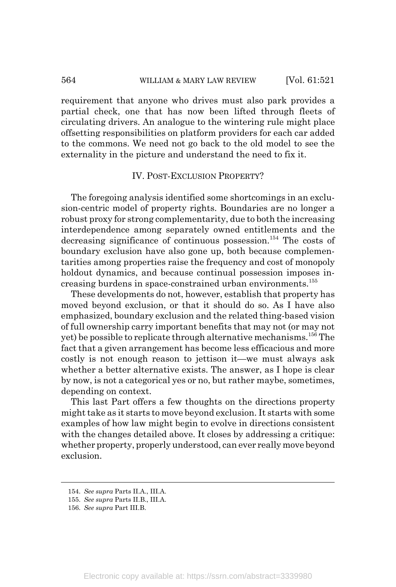#### 564 WILLIAM & MARY LAW REVIEW [Vol. 61:521]

requirement that anyone who drives must also park provides a partial check, one that has now been lifted through fleets of circulating drivers. An analogue to the wintering rule might place offsetting responsibilities on platform providers for each car added to the commons. We need not go back to the old model to see the externality in the picture and understand the need to fix it.

## IV. POST-EXCLUSION PROPERTY?

The foregoing analysis identified some shortcomings in an exclusion-centric model of property rights. Boundaries are no longer a robust proxy for strong complementarity, due to both the increasing interdependence among separately owned entitlements and the decreasing significance of continuous possession.<sup>154</sup> The costs of boundary exclusion have also gone up, both because complementarities among properties raise the frequency and cost of monopoly holdout dynamics, and because continual possession imposes increasing burdens in space-constrained urban environments.155

These developments do not, however, establish that property has moved beyond exclusion, or that it should do so. As I have also emphasized, boundary exclusion and the related thing-based vision of full ownership carry important benefits that may not (or may not yet) be possible to replicate through alternative mechanisms.156 The fact that a given arrangement has become less efficacious and more costly is not enough reason to jettison it—we must always ask whether a better alternative exists. The answer, as I hope is clear by now, is not a categorical yes or no, but rather maybe, sometimes, depending on context.

This last Part offers a few thoughts on the directions property might take as it starts to move beyond exclusion. It starts with some examples of how law might begin to evolve in directions consistent with the changes detailed above. It closes by addressing a critique: whether property, properly understood, can ever really move beyond exclusion.

<sup>154.</sup> *See supra* Parts II.A., III.A.

<sup>155.</sup> *See supra* Parts II.B., III.A.

<sup>156.</sup> *See supra* Part III.B.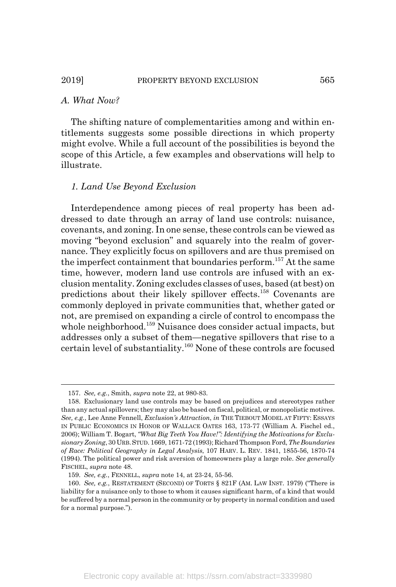## *A. What Now?*

The shifting nature of complementarities among and within entitlements suggests some possible directions in which property might evolve. While a full account of the possibilities is beyond the scope of this Article, a few examples and observations will help to illustrate.

#### *1. Land Use Beyond Exclusion*

Interdependence among pieces of real property has been addressed to date through an array of land use controls: nuisance, covenants, and zoning. In one sense, these controls can be viewed as moving "beyond exclusion" and squarely into the realm of governance. They explicitly focus on spillovers and are thus premised on the imperfect containment that boundaries perform.<sup>157</sup> At the same time, however, modern land use controls are infused with an exclusion mentality. Zoning excludes classes of uses, based (at best) on predictions about their likely spillover effects.158 Covenants are commonly deployed in private communities that, whether gated or not, are premised on expanding a circle of control to encompass the whole neighborhood.<sup>159</sup> Nuisance does consider actual impacts, but addresses only a subset of them—negative spillovers that rise to a certain level of substantiality.160 None of these controls are focused

<sup>157.</sup> *See, e.g.*, Smith, *supra* note 22, at 980-83.

<sup>158.</sup> Exclusionary land use controls may be based on prejudices and stereotypes rather than any actual spillovers; they may also be based on fiscal, political, or monopolistic motives. *See, e.g.*, Lee Anne Fennell, *Exclusion's Attraction*, *in* THE TIEBOUT MODEL AT FIFTY: ESSAYS IN PUBLIC ECONOMICS IN HONOR OF WALLACE OATES 163, 173-77 (William A. Fischel ed., 2006); William T. Bogart, *"What Big Teeth You Have!": Identifying the Motivations for Exclusionary Zoning*, 30 URB.STUD. 1669, 1671-72 (1993); Richard Thompson Ford, *The Boundaries of Race: Political Geography in Legal Analysis*, 107 HARV. L. REV. 1841, 1855-56, 1870-74 (1994). The political power and risk aversion of homeowners play a large role. *See generally* FISCHEL, *supra* note 48.

<sup>159.</sup> *See, e.g.*, FENNELL, *supra* note 14, at 23-24, 55-56.

<sup>160.</sup> *See, e.g.*, RESTATEMENT (SECOND) OF TORTS § 821F (AM. LAW INST. 1979) ("There is liability for a nuisance only to those to whom it causes significant harm, of a kind that would be suffered by a normal person in the community or by property in normal condition and used for a normal purpose.").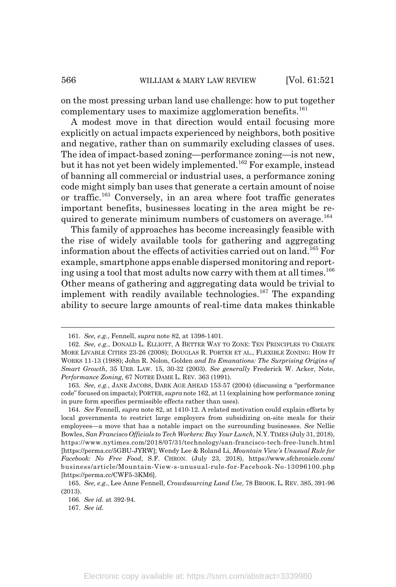on the most pressing urban land use challenge: how to put together complementary uses to maximize agglomeration benefits.<sup>161</sup>

A modest move in that direction would entail focusing more explicitly on actual impacts experienced by neighbors, both positive and negative, rather than on summarily excluding classes of uses. The idea of impact-based zoning—performance zoning—is not new, but it has not yet been widely implemented.<sup>162</sup> For example, instead of banning all commercial or industrial uses, a performance zoning code might simply ban uses that generate a certain amount of noise or traffic.163 Conversely, in an area where foot traffic generates important benefits, businesses locating in the area might be required to generate minimum numbers of customers on average.<sup>164</sup>

This family of approaches has become increasingly feasible with the rise of widely available tools for gathering and aggregating information about the effects of activities carried out on land.165 For example, smartphone apps enable dispersed monitoring and reporting using a tool that most adults now carry with them at all times.<sup>166</sup> Other means of gathering and aggregating data would be trivial to implement with readily available technologies.<sup>167</sup> The expanding ability to secure large amounts of real-time data makes thinkable

<sup>161.</sup> *See, e.g.*, Fennell, *supra* note 82, at 1398-1401.

<sup>162.</sup> *See, e.g.*, DONALD L. ELLIOTT, A BETTER WAY TO ZONE: TEN PRINCIPLES TO CREATE MORE LIVABLE CITIES 23-26 (2008); DOUGLAS R. PORTER ET AL., FLEXIBLE ZONING: HOW IT WORKS 11-13 (1988); John R. Nolon, Golden *and Its Emanations: The Surprising Origins of Smart Growth*, 35 URB. LAW. 15, 30-32 (2003). *See generally* Frederick W. Acker, Note, *Performance Zoning*, 67 NOTRE DAME L. REV. 363 (1991).

<sup>163.</sup> *See, e.g.*, JANE JACOBS, DARK AGE AHEAD 153-57 (2004) (discussing a "performance code" focused on impacts); PORTER, *supra* note 162, at 11 (explaining how performance zoning in pure form specifies permissible effects rather than uses).

<sup>164.</sup> *See* Fennell, *supra* note 82, at 1410-12. A related motivation could explain efforts by local governments to restrict large employers from subsidizing on-site meals for their employees—a move that has a notable impact on the surrounding businesses. *See* Nellie Bowles, *San Francisco Officials to Tech Workers: Buy Your Lunch*, N.Y.TIMES (July 31, 2018), https://www.nytimes.com/2018/07/31/technology/san-francisco-tech-free-lunch.html [https://perma.cc/5GBU-JYRW]; Wendy Lee & Roland Li, *Mountain View's Unusual Rule for Facebook: No Free Food*, S.F. CHRON. (July 23, 2018), https://www.sfchronicle.com/ business/article/Mountain-View-s-unusual-rule-for-Facebook-No-13096100.php [https://perma.cc/CWF5-3KM6].

<sup>165.</sup> *See, e.g.*, Lee Anne Fennell, *Crowdsourcing Land Use*, 78 BROOK. L. REV. 385, 391-96 (2013).

<sup>166.</sup> *See id.* at 392-94.

<sup>167.</sup> *See id.*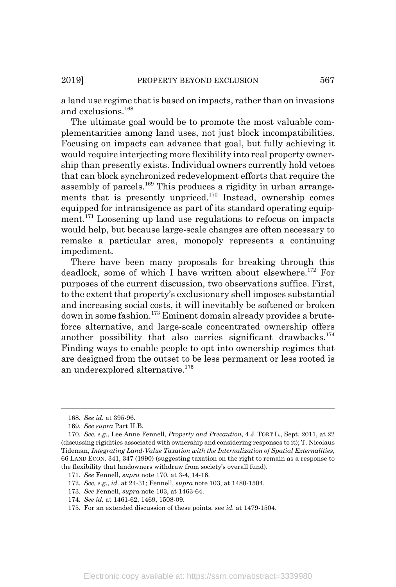a land use regime that is based on impacts, rather than on invasions and exclusions.<sup>168</sup>

The ultimate goal would be to promote the most valuable complementarities among land uses, not just block incompatibilities. Focusing on impacts can advance that goal, but fully achieving it would require interjecting more flexibility into real property ownership than presently exists. Individual owners currently hold vetoes that can block synchronized redevelopment efforts that require the assembly of parcels.<sup>169</sup> This produces a rigidity in urban arrangements that is presently unpriced.<sup>170</sup> Instead, ownership comes equipped for intransigence as part of its standard operating equipment.<sup>171</sup> Loosening up land use regulations to refocus on impacts would help, but because large-scale changes are often necessary to remake a particular area, monopoly represents a continuing impediment.

There have been many proposals for breaking through this deadlock, some of which I have written about elsewhere.<sup>172</sup> For purposes of the current discussion, two observations suffice. First, to the extent that property's exclusionary shell imposes substantial and increasing social costs, it will inevitably be softened or broken down in some fashion.173 Eminent domain already provides a bruteforce alternative, and large-scale concentrated ownership offers another possibility that also carries significant drawbacks.<sup>174</sup> Finding ways to enable people to opt into ownership regimes that are designed from the outset to be less permanent or less rooted is an underexplored alternative.<sup>175</sup>

<sup>168.</sup> *See id.* at 395-96.

<sup>169.</sup> *See supra* Part II.B.

<sup>170.</sup> *See, e.g.*, Lee Anne Fennell, *Property and Precaution*, 4 J. TORT L., Sept. 2011, at 22 (discussing rigidities associated with ownership and considering responses to it); T. Nicolaus Tideman, *Integrating Land-Value Taxation with the Internalization of Spatial Externalities*, 66 LAND ECON. 341, 347 (1990) (suggesting taxation on the right to remain as a response to the flexibility that landowners withdraw from society's overall fund).

<sup>171.</sup> *See* Fennell, *supra* note 170, at 3-4, 14-16.

<sup>172.</sup> *See, e.g.*, *id.* at 24-31; Fennell, *supra* note 103, at 1480-1504.

<sup>173.</sup> *See* Fennell, *supra* note 103, at 1463-64.

<sup>174.</sup> *See id.* at 1461-62, 1469, 1508-09.

<sup>175.</sup> For an extended discussion of these points, see *id.* at 1479-1504.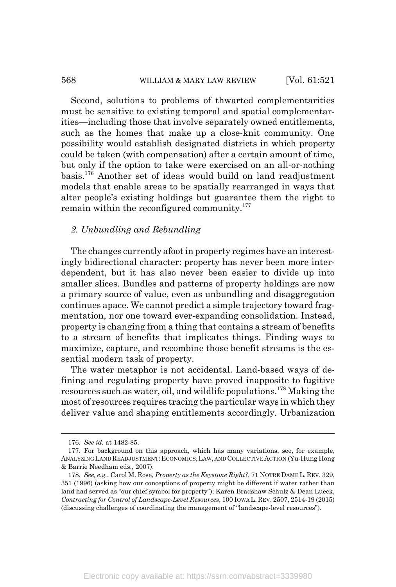#### 568 WILLIAM & MARY LAW REVIEW [Vol. 61:521]

Second, solutions to problems of thwarted complementarities must be sensitive to existing temporal and spatial complementarities—including those that involve separately owned entitlements, such as the homes that make up a close-knit community. One possibility would establish designated districts in which property could be taken (with compensation) after a certain amount of time, but only if the option to take were exercised on an all-or-nothing basis.176 Another set of ideas would build on land readjustment models that enable areas to be spatially rearranged in ways that alter people's existing holdings but guarantee them the right to remain within the reconfigured community.<sup>177</sup>

### *2. Unbundling and Rebundling*

The changes currently afoot in property regimes have an interestingly bidirectional character: property has never been more interdependent, but it has also never been easier to divide up into smaller slices. Bundles and patterns of property holdings are now a primary source of value, even as unbundling and disaggregation continues apace. We cannot predict a simple trajectory toward fragmentation, nor one toward ever-expanding consolidation. Instead, property is changing from a thing that contains a stream of benefits to a stream of benefits that implicates things. Finding ways to maximize, capture, and recombine those benefit streams is the essential modern task of property.

The water metaphor is not accidental. Land-based ways of defining and regulating property have proved inapposite to fugitive resources such as water, oil, and wildlife populations.178 Making the most of resources requires tracing the particular ways in which they deliver value and shaping entitlements accordingly. Urbanization

<sup>176.</sup> *See id.* at 1482-85.

<sup>177.</sup> For background on this approach, which has many variations, see, for example, ANALYZING LAND READJUSTMENT: ECONOMICS, LAW, AND COLLECTIVE ACTION (Yu-Hung Hong & Barrie Needham eds., 2007).

<sup>178.</sup> *See, e.g.*, Carol M. Rose, *Property as the Keystone Right?*, 71 NOTRE DAME L. REV. 329, 351 (1996) (asking how our conceptions of property might be different if water rather than land had served as "our chief symbol for property"); Karen Bradshaw Schulz & Dean Lueck, *Contracting for Control of Landscape-Level Resources*, 100 IOWA L.REV. 2507, 2514-19 (2015) (discussing challenges of coordinating the management of "landscape-level resources").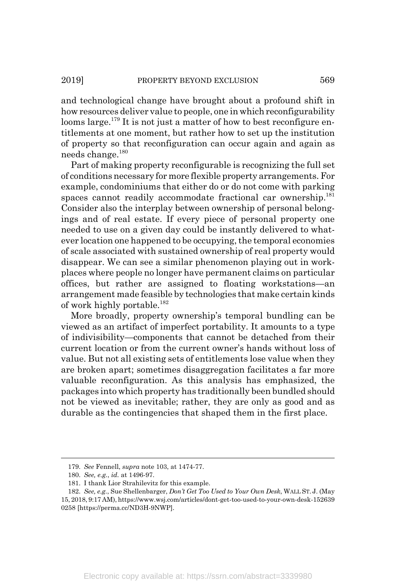and technological change have brought about a profound shift in how resources deliver value to people, one in which reconfigurability looms large.<sup>179</sup> It is not just a matter of how to best reconfigure entitlements at one moment, but rather how to set up the institution of property so that reconfiguration can occur again and again as needs change.<sup>180</sup>

Part of making property reconfigurable is recognizing the full set of conditions necessary for more flexible property arrangements. For example, condominiums that either do or do not come with parking spaces cannot readily accommodate fractional car ownership.<sup>181</sup> Consider also the interplay between ownership of personal belongings and of real estate. If every piece of personal property one needed to use on a given day could be instantly delivered to whatever location one happened to be occupying, the temporal economies of scale associated with sustained ownership of real property would disappear. We can see a similar phenomenon playing out in workplaces where people no longer have permanent claims on particular offices, but rather are assigned to floating workstations—an arrangement made feasible by technologies that make certain kinds of work highly portable.<sup>182</sup>

More broadly, property ownership's temporal bundling can be viewed as an artifact of imperfect portability. It amounts to a type of indivisibility—components that cannot be detached from their current location or from the current owner's hands without loss of value. But not all existing sets of entitlements lose value when they are broken apart; sometimes disaggregation facilitates a far more valuable reconfiguration. As this analysis has emphasized, the packages into which property has traditionally been bundled should not be viewed as inevitable; rather, they are only as good and as durable as the contingencies that shaped them in the first place.

<sup>179.</sup> *See* Fennell, *supra* note 103, at 1474-77.

<sup>180.</sup> *See, e.g.*, *id.* at 1496-97.

<sup>181.</sup> I thank Lior Strahilevitz for this example.

<sup>182.</sup> *See, e.g.*, Sue Shellenbarger, *Don't Get Too Used to Your Own Desk*, WALL ST. J. (May 15, 2018, 9:17 AM), https://www.wsj.com/articles/dont-get-too-used-to-your-own-desk-152639 0258 [https://perma.cc/ND3H-9NWP].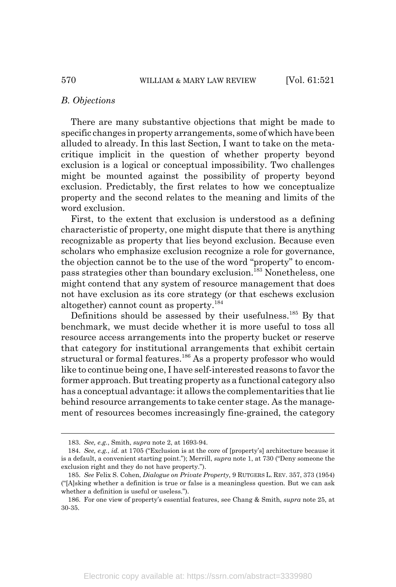#### *B. Objections*

There are many substantive objections that might be made to specific changes in property arrangements, some of which have been alluded to already. In this last Section, I want to take on the metacritique implicit in the question of whether property beyond exclusion is a logical or conceptual impossibility. Two challenges might be mounted against the possibility of property beyond exclusion. Predictably, the first relates to how we conceptualize property and the second relates to the meaning and limits of the word exclusion.

First, to the extent that exclusion is understood as a defining characteristic of property, one might dispute that there is anything recognizable as property that lies beyond exclusion. Because even scholars who emphasize exclusion recognize a role for governance, the objection cannot be to the use of the word "property" to encompass strategies other than boundary exclusion.183 Nonetheless, one might contend that any system of resource management that does not have exclusion as its core strategy (or that eschews exclusion altogether) cannot count as property.<sup>184</sup>

Definitions should be assessed by their usefulness.<sup>185</sup> By that benchmark, we must decide whether it is more useful to toss all resource access arrangements into the property bucket or reserve that category for institutional arrangements that exhibit certain structural or formal features.<sup>186</sup> As a property professor who would like to continue being one, I have self-interested reasons to favor the former approach. But treating property as a functional category also has a conceptual advantage: it allows the complementarities that lie behind resource arrangements to take center stage. As the management of resources becomes increasingly fine-grained, the category

<sup>183.</sup> *See, e.g.*, Smith, *supra* note 2, at 1693-94.

<sup>184.</sup> *See, e.g.*, *id.* at 1705 ("Exclusion is at the core of [property's] architecture because it is a default, a convenient starting point."); Merrill, *supra* note 1, at 730 ("Deny someone the exclusion right and they do not have property.").

<sup>185.</sup> *See* Felix S. Cohen, *Dialogue on Private Property*, 9 RUTGERS L. REV. 357, 373 (1954) ("[A]sking whether a definition is true or false is a meaningless question. But we can ask whether a definition is useful or useless.").

<sup>186.</sup> For one view of property's essential features, see Chang & Smith, *supra* note 25, at 30-35.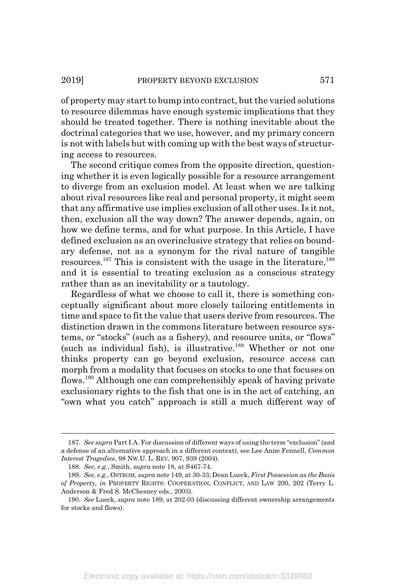of property may start to bump into contract, but the varied solutions to resource dilemmas have enough systemic implications that they should be treated together. There is nothing inevitable about the doctrinal categories that we use, however, and my primary concern is not with labels but with coming up with the best ways of structuring access to resources.

The second critique comes from the opposite direction, questioning whether it is even logically possible for a resource arrangement to diverge from an exclusion model. At least when we are talking about rival resources like real and personal property, it might seem that any affirmative use implies exclusion of all other uses. Is it not, then, exclusion all the way down? The answer depends, again, on how we define terms, and for what purpose. In this Article, I have defined exclusion as an overinclusive strategy that relies on boundary defense, not as a synonym for the rival nature of tangible resources.<sup>187</sup> This is consistent with the usage in the literature,<sup>188</sup> and it is essential to treating exclusion as a conscious strategy rather than as an inevitability or a tautology.

Regardless of what we choose to call it, there is something conceptually significant about more closely tailoring entitlements in time and space to fit the value that users derive from resources. The distinction drawn in the commons literature between resource systems, or "stocks" (such as a fishery), and resource units, or "flows" (such as individual fish), is illustrative.<sup>189</sup> Whether or not one thinks property can go beyond exclusion, resource access can morph from a modality that focuses on stocks to one that focuses on flows.190 Although one can comprehensibly speak of having private exclusionary rights to the fish that one is in the act of catching, an "own what you catch" approach is still a much different way of

<sup>187.</sup> *See supra* Part I.A. For discussion of different ways of using the term "exclusion" (and a defense of an alternative approach in a different context), see Lee Anne Fennell, *Common Interest Tragedies*, 98 NW.U. L. REV. 907, 939 (2004).

<sup>188.</sup> *See, e.g.*, Smith, *supra* note 18, at S467-74.

<sup>189.</sup> *See, e.g.*, OSTROM, *supra* note 149, at 30-33; Dean Lueck, *First Possession as the Basis of Property*, *in* PROPERTY RIGHTS: COOPERATION, CONFLICT, AND LAW 200, 202 (Terry L. Anderson & Fred S. McChesney eds., 2003).

<sup>190.</sup> *See* Lueck, *supra* note 189, at 202-03 (discussing different ownership arrangements for stocks and flows).